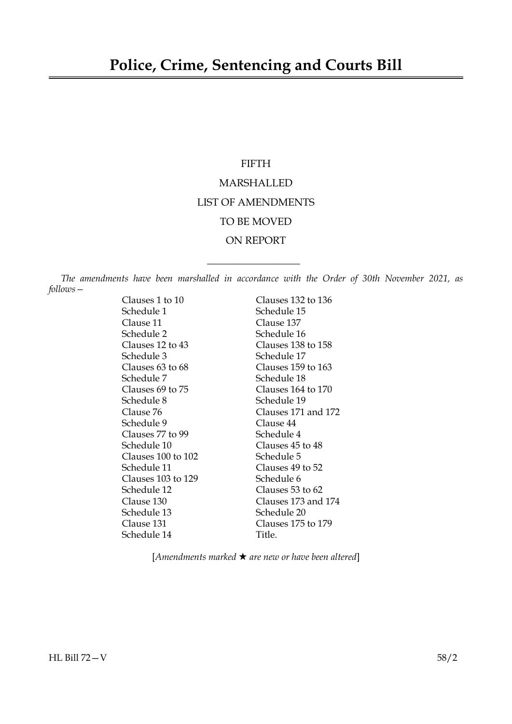### FIFTH

# MARSHALLED LIST OF AMENDMENTS TO BE MOVED ON REPORT

*The amendments have been marshalled in accordance with the Order of 30th November 2021, as follows—*

 $\overline{\phantom{a}}$  , where  $\overline{\phantom{a}}$ 

Clauses 1 to 10 Clauses 132 to 136 Schedule 1 Schedule 15 Clause 11 Clause 137 Schedule 2 Schedule 16 Clauses 12 to 43 Clauses 138 to 158 Schedule 3 Schedule 17 Clauses 63 to 68 Clauses 159 to 163 Schedule 7 Schedule 18 Clauses 69 to 75 Clauses 164 to 170 Schedule 8 Schedule 19 Clause 76 Clauses 171 and 172 Schedule 9 Clause 44 Clauses 77 to 99 Schedule 4 Schedule 10 Clauses 45 to 48 Clauses 100 to 102 Schedule 5 Schedule 11 Clauses 49 to 52 Clauses 103 to 129 Schedule 6 Schedule 12 Clauses 53 to 62 Clause 130 Clauses 173 and 174 Schedule 13 Schedule 20 Clause 131 Clauses 175 to 179 Schedule 14 Title.

[*Amendments marked* \* *are new or have been altered*]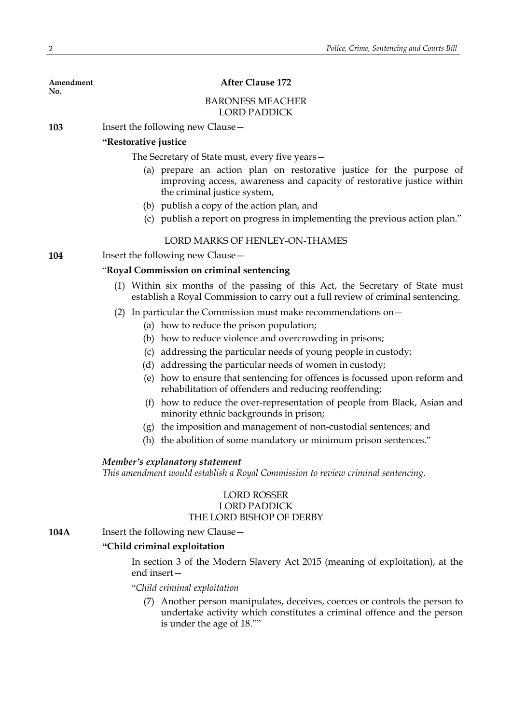**No.**

### **Amendment After Clause 172**

#### BARONESS MEACHER LORD PADDICK

**103** Insert the following new Clause—

### **"Restorative justice**

The Secretary of State must, every five years—

- (a) prepare an action plan on restorative justice for the purpose of improving access, awareness and capacity of restorative justice within the criminal justice system,
- (b) publish a copy of the action plan, and
- (c) publish a report on progress in implementing the previous action plan."

### LORD MARKS OF HENLEY-ON-THAMES

**104** Insert the following new Clause—

### "**Royal Commission on criminal sentencing**

- (1) Within six months of the passing of this Act, the Secretary of State must establish a Royal Commission to carry out a full review of criminal sentencing.
- (2) In particular the Commission must make recommendations on—
	- (a) how to reduce the prison population;
	- (b) how to reduce violence and overcrowding in prisons;
	- (c) addressing the particular needs of young people in custody;
	- (d) addressing the particular needs of women in custody;
	- (e) how to ensure that sentencing for offences is focussed upon reform and rehabilitation of offenders and reducing reoffending;
	- (f) how to reduce the over-representation of people from Black, Asian and minority ethnic backgrounds in prison;
	- (g) the imposition and management of non-custodial sentences; and
	- (h) the abolition of some mandatory or minimum prison sentences."

#### *Member's explanatory statement*

*This amendment would establish a Royal Commission to review criminal sentencing.*

### LORD ROSSER LORD PADDICK THE LORD BISHOP OF DERBY

**104A** Insert the following new Clause -

### **"Child criminal exploitation**

In section 3 of the Modern Slavery Act 2015 (meaning of exploitation), at the end insert—

#### "*Child criminal exploitation*

(7) Another person manipulates, deceives, coerces or controls the person to undertake activity which constitutes a criminal offence and the person is under the age of 18.""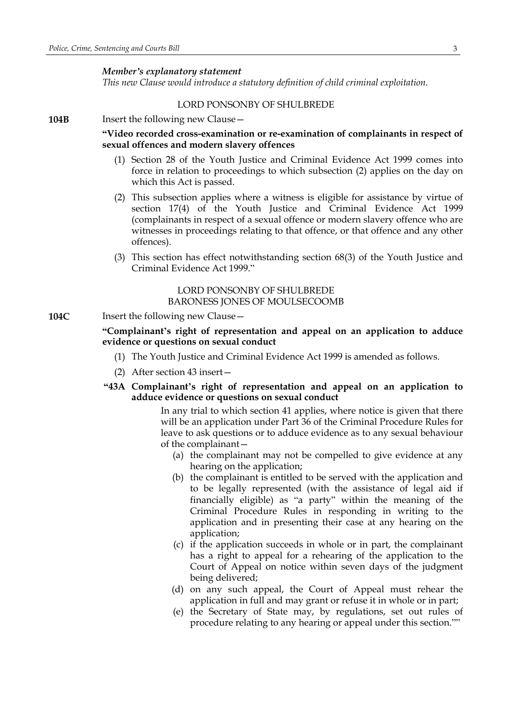#### *Member's explanatory statement*

*This new Clause would introduce a statutory definition of child criminal exploitation.*

#### LORD PONSONBY OF SHULBREDE

**104B** Insert the following new Clause -

### **"Video recorded cross-examination or re-examination of complainants in respect of sexual offences and modern slavery offences**

- (1) Section 28 of the Youth Justice and Criminal Evidence Act 1999 comes into force in relation to proceedings to which subsection (2) applies on the day on which this Act is passed.
- (2) This subsection applies where a witness is eligible for assistance by virtue of section 17(4) of the Youth Justice and Criminal Evidence Act 1999 (complainants in respect of a sexual offence or modern slavery offence who are witnesses in proceedings relating to that offence, or that offence and any other offences).
- (3) This section has effect notwithstanding section 68(3) of the Youth Justice and Criminal Evidence Act 1999."

### LORD PONSONBY OF SHULBREDE BARONESS JONES OF MOULSECOOMB

#### **104C** Insert the following new Clause -

**"Complainant's right of representation and appeal on an application to adduce evidence or questions on sexual conduct**

- (1) The Youth Justice and Criminal Evidence Act 1999 is amended as follows.
- (2) After section 43 insert—
- **"43A Complainant's right of representation and appeal on an application to adduce evidence or questions on sexual conduct**

In any trial to which section 41 applies, where notice is given that there will be an application under Part 36 of the Criminal Procedure Rules for leave to ask questions or to adduce evidence as to any sexual behaviour of the complainant—

- (a) the complainant may not be compelled to give evidence at any hearing on the application;
- (b) the complainant is entitled to be served with the application and to be legally represented (with the assistance of legal aid if financially eligible) as "a party" within the meaning of the Criminal Procedure Rules in responding in writing to the application and in presenting their case at any hearing on the application;
- (c) if the application succeeds in whole or in part, the complainant has a right to appeal for a rehearing of the application to the Court of Appeal on notice within seven days of the judgment being delivered;
- (d) on any such appeal, the Court of Appeal must rehear the application in full and may grant or refuse it in whole or in part;
- (e) the Secretary of State may, by regulations, set out rules of procedure relating to any hearing or appeal under this section.""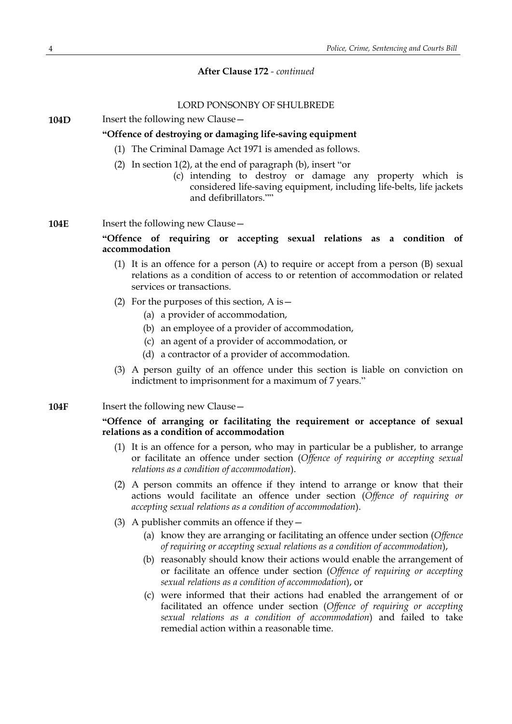### LORD PONSONBY OF SHULBREDE

**104D** Insert the following new Clause -

### **"Offence of destroying or damaging life-saving equipment**

- (1) The Criminal Damage Act 1971 is amended as follows.
- (2) In section 1(2), at the end of paragraph (b), insert "or
	- (c) intending to destroy or damage any property which is considered life-saving equipment, including life-belts, life jackets and defibrillators.""
- **104E** Insert the following new Clause -

### **"Offence of requiring or accepting sexual relations as a condition of accommodation**

- (1) It is an offence for a person (A) to require or accept from a person (B) sexual relations as a condition of access to or retention of accommodation or related services or transactions.
- (2) For the purposes of this section,  $\overline{A}$  is  $-$ 
	- (a) a provider of accommodation,
	- (b) an employee of a provider of accommodation,
	- (c) an agent of a provider of accommodation, or
	- (d) a contractor of a provider of accommodation.
- (3) A person guilty of an offence under this section is liable on conviction on indictment to imprisonment for a maximum of 7 years."

#### **104F** Insert the following new Clause –

### **"Offence of arranging or facilitating the requirement or acceptance of sexual relations as a condition of accommodation**

- (1) It is an offence for a person, who may in particular be a publisher, to arrange or facilitate an offence under section (*Offence of requiring or accepting sexual relations as a condition of accommodation*).
- (2) A person commits an offence if they intend to arrange or know that their actions would facilitate an offence under section (*Offence of requiring or accepting sexual relations as a condition of accommodation*).
- (3) A publisher commits an offence if they—
	- (a) know they are arranging or facilitating an offence under section (*Offence of requiring or accepting sexual relations as a condition of accommodation*),
	- (b) reasonably should know their actions would enable the arrangement of or facilitate an offence under section (*Offence of requiring or accepting sexual relations as a condition of accommodation*), or
	- (c) were informed that their actions had enabled the arrangement of or facilitated an offence under section (*Offence of requiring or accepting sexual relations as a condition of accommodation*) and failed to take remedial action within a reasonable time.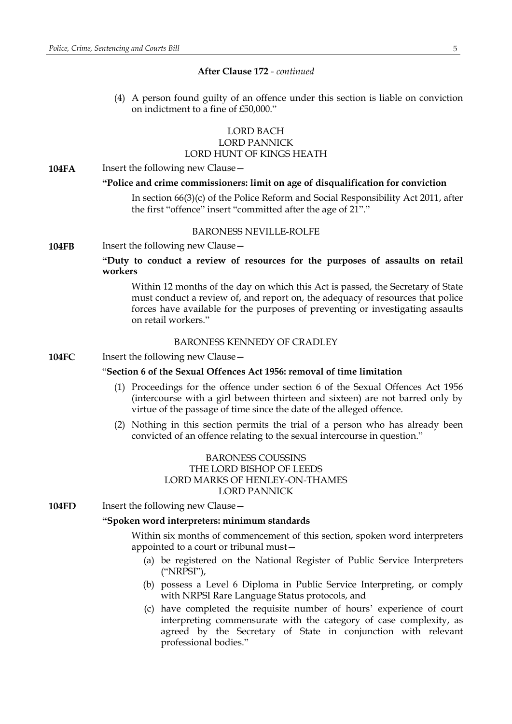(4) A person found guilty of an offence under this section is liable on conviction on indictment to a fine of £50,000."

### LORD BACH LORD PANNICK LORD HUNT OF KINGS HEATH

#### **104FA** Insert the following new Clause -

#### **"Police and crime commissioners: limit on age of disqualification for conviction**

In section 66(3)(c) of the Police Reform and Social Responsibility Act 2011, after the first "offence" insert "committed after the age of 21"."

### BARONESS NEVILLE-ROLFE

**104FB** Insert the following new Clause -

### **"Duty to conduct a review of resources for the purposes of assaults on retail workers**

Within 12 months of the day on which this Act is passed, the Secretary of State must conduct a review of, and report on, the adequacy of resources that police forces have available for the purposes of preventing or investigating assaults on retail workers."

#### BARONESS KENNEDY OF CRADLEY

**104FC** Insert the following new Clause —

### "**Section 6 of the Sexual Offences Act 1956: removal of time limitation**

- (1) Proceedings for the offence under section 6 of the Sexual Offences Act 1956 (intercourse with a girl between thirteen and sixteen) are not barred only by virtue of the passage of time since the date of the alleged offence.
- (2) Nothing in this section permits the trial of a person who has already been convicted of an offence relating to the sexual intercourse in question."

### BARONESS COUSSINS THE LORD BISHOP OF LEEDS LORD MARKS OF HENLEY-ON-THAMES LORD PANNICK

**104FD** Insert the following new Clause –

### **"Spoken word interpreters: minimum standards**

Within six months of commencement of this section, spoken word interpreters appointed to a court or tribunal must—

- (a) be registered on the National Register of Public Service Interpreters ("NRPSI"),
- (b) possess a Level 6 Diploma in Public Service Interpreting, or comply with NRPSI Rare Language Status protocols, and
- (c) have completed the requisite number of hours' experience of court interpreting commensurate with the category of case complexity, as agreed by the Secretary of State in conjunction with relevant professional bodies."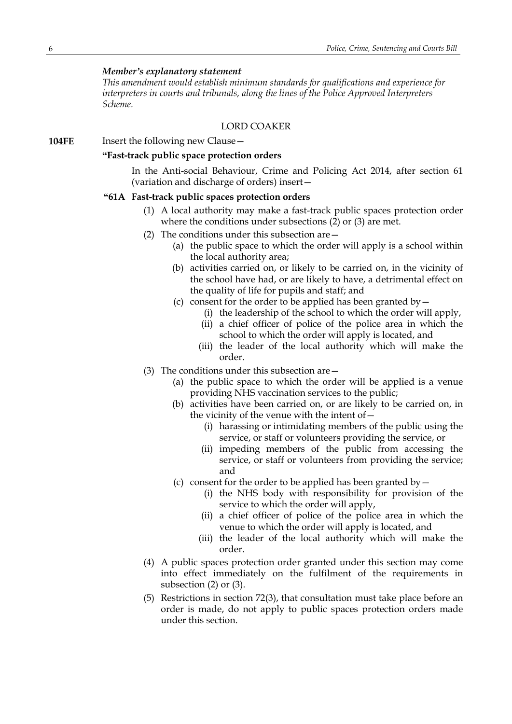### *Member's explanatory statement*

*This amendment would establish minimum standards for qualifications and experience for interpreters in courts and tribunals, along the lines of the Police Approved Interpreters Scheme.*

### LORD COAKER

**104FE** Insert the following new Clause -

### **"Fast-track public space protection orders**

In the Anti-social Behaviour, Crime and Policing Act 2014, after section 61 (variation and discharge of orders) insert—

#### **"61A Fast-track public spaces protection orders**

- (1) A local authority may make a fast-track public spaces protection order where the conditions under subsections (2) or (3) are met.
- (2) The conditions under this subsection are—
	- (a) the public space to which the order will apply is a school within the local authority area;
	- (b) activities carried on, or likely to be carried on, in the vicinity of the school have had, or are likely to have, a detrimental effect on the quality of life for pupils and staff; and
	- (c) consent for the order to be applied has been granted by  $-$ 
		- (i) the leadership of the school to which the order will apply,
		- (ii) a chief officer of police of the police area in which the school to which the order will apply is located, and
		- (iii) the leader of the local authority which will make the order.
- (3) The conditions under this subsection are—
	- (a) the public space to which the order will be applied is a venue providing NHS vaccination services to the public;
	- (b) activities have been carried on, or are likely to be carried on, in the vicinity of the venue with the intent of—
		- (i) harassing or intimidating members of the public using the service, or staff or volunteers providing the service, or
		- (ii) impeding members of the public from accessing the service, or staff or volunteers from providing the service; and
	- (c) consent for the order to be applied has been granted by  $-$ 
		- (i) the NHS body with responsibility for provision of the service to which the order will apply,
		- (ii) a chief officer of police of the police area in which the venue to which the order will apply is located, and
		- (iii) the leader of the local authority which will make the order.
- (4) A public spaces protection order granted under this section may come into effect immediately on the fulfilment of the requirements in subsection (2) or (3).
- (5) Restrictions in section 72(3), that consultation must take place before an order is made, do not apply to public spaces protection orders made under this section.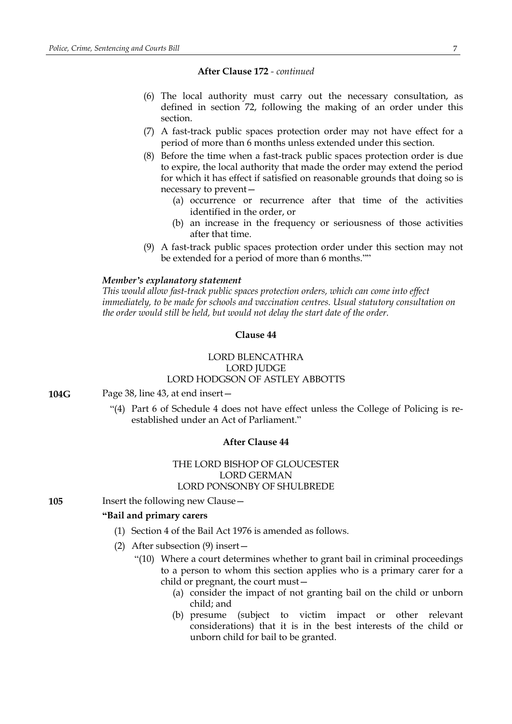- (6) The local authority must carry out the necessary consultation, as defined in section 72, following the making of an order under this section.
- (7) A fast-track public spaces protection order may not have effect for a period of more than 6 months unless extended under this section.
- (8) Before the time when a fast-track public spaces protection order is due to expire, the local authority that made the order may extend the period for which it has effect if satisfied on reasonable grounds that doing so is necessary to prevent—
	- (a) occurrence or recurrence after that time of the activities identified in the order, or
	- (b) an increase in the frequency or seriousness of those activities after that time.
- (9) A fast-track public spaces protection order under this section may not be extended for a period of more than 6 months.""

### *Member's explanatory statement*

*This would allow fast-track public spaces protection orders, which can come into effect immediately, to be made for schools and vaccination centres. Usual statutory consultation on the order would still be held, but would not delay the start date of the order.*

### **Clause 44**

### LORD BLENCATHRA LORD JUDGE LORD HODGSON OF ASTLEY ABBOTTS

**104G** Page 38, line 43, at end insert—

"(4) Part 6 of Schedule 4 does not have effect unless the College of Policing is reestablished under an Act of Parliament."

#### **After Clause 44**

### THE LORD BISHOP OF GLOUCESTER LORD GERMAN LORD PONSONBY OF SHULBREDE

**105** Insert the following new Clause –

### **"Bail and primary carers**

- (1) Section 4 of the Bail Act 1976 is amended as follows.
- (2) After subsection (9) insert—
	- "(10) Where a court determines whether to grant bail in criminal proceedings to a person to whom this section applies who is a primary carer for a child or pregnant, the court must—
		- (a) consider the impact of not granting bail on the child or unborn child; and
		- (b) presume (subject to victim impact or other relevant considerations) that it is in the best interests of the child or unborn child for bail to be granted.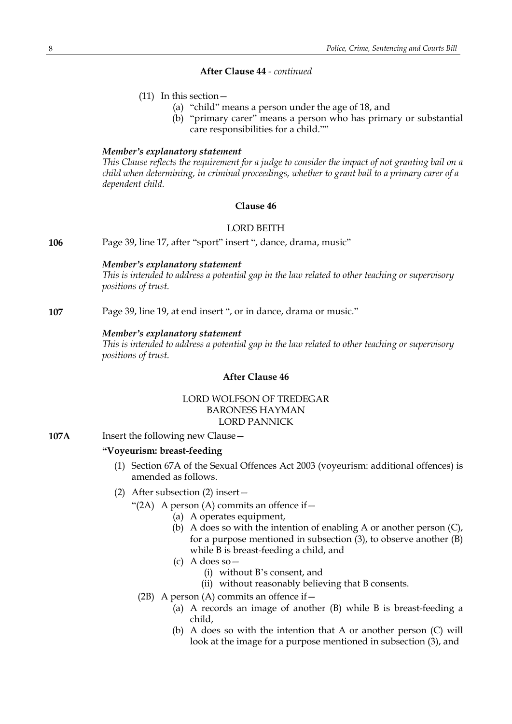- (11) In this section—
	- (a) "child" means a person under the age of 18, and
	- (b) "primary carer" means a person who has primary or substantial care responsibilities for a child.""

#### *Member's explanatory statement*

*This Clause reflects the requirement for a judge to consider the impact of not granting bail on a child when determining, in criminal proceedings, whether to grant bail to a primary carer of a dependent child.*

### **Clause 46**

### LORD BEITH

**106** Page 39, line 17, after "sport" insert ", dance, drama, music"

### *Member's explanatory statement*

*This is intended to address a potential gap in the law related to other teaching or supervisory positions of trust.*

**107** Page 39, line 19, at end insert ", or in dance, drama or music."

### *Member's explanatory statement*

*This is intended to address a potential gap in the law related to other teaching or supervisory positions of trust.*

### **After Clause 46**

### LORD WOLFSON OF TREDEGAR BARONESS HAYMAN LORD PANNICK

**107A** Insert the following new Clause -

### **"Voyeurism: breast-feeding**

- (1) Section 67A of the Sexual Offences Act 2003 (voyeurism: additional offences) is amended as follows.
- (2) After subsection (2) insert—
	- "(2A) A person (A) commits an offence if  $-$ 
		- (a) A operates equipment,
		- (b) A does so with the intention of enabling A or another person (C), for a purpose mentioned in subsection (3), to observe another (B) while B is breast-feeding a child, and
		- (c) A does so—
			- (i) without B's consent, and
			- (ii) without reasonably believing that B consents.
	- (2B) A person (A) commits an offence if  $-$ 
		- (a) A records an image of another (B) while B is breast-feeding a child,
		- (b) A does so with the intention that A or another person (C) will look at the image for a purpose mentioned in subsection (3), and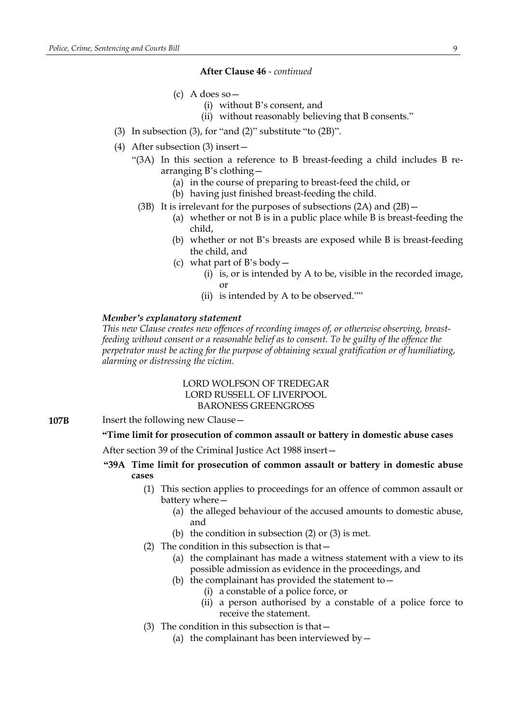- (c) A does so—
	- (i) without B's consent, and
	- (ii) without reasonably believing that B consents."
- (3) In subsection (3), for "and (2)" substitute "to  $(2B)$ ".
- (4) After subsection (3) insert—
	- "(3A) In this section a reference to B breast-feeding a child includes B rearranging B's clothing—
		- (a) in the course of preparing to breast-feed the child, or
		- (b) having just finished breast-feeding the child.
		- (3B) It is irrelevant for the purposes of subsections (2A) and (2B)—
			- (a) whether or not B is in a public place while B is breast-feeding the child,
			- (b) whether or not B's breasts are exposed while B is breast-feeding the child, and
			- (c) what part of B's body—
				- (i) is, or is intended by A to be, visible in the recorded image, or
				- (ii) is intended by A to be observed.""

#### *Member's explanatory statement*

*This new Clause creates new offences of recording images of, or otherwise observing, breastfeeding without consent or a reasonable belief as to consent. To be guilty of the offence the perpetrator must be acting for the purpose of obtaining sexual gratification or of humiliating, alarming or distressing the victim.*

### LORD WOLFSON OF TREDEGAR LORD RUSSELL OF LIVERPOOL BARONESS GREENGROSS

### **107B** Insert the following new Clause -

### **"Time limit for prosecution of common assault or battery in domestic abuse cases**

After section 39 of the Criminal Justice Act 1988 insert—

- **"39A Time limit for prosecution of common assault or battery in domestic abuse cases**
	- (1) This section applies to proceedings for an offence of common assault or battery where—
		- (a) the alleged behaviour of the accused amounts to domestic abuse, and
		- (b) the condition in subsection (2) or (3) is met.
	- (2) The condition in this subsection is that  $-$ 
		- (a) the complainant has made a witness statement with a view to its possible admission as evidence in the proceedings, and
		- (b) the complainant has provided the statement to  $-$ 
			- (i) a constable of a police force, or
			- (ii) a person authorised by a constable of a police force to receive the statement.
	- (3) The condition in this subsection is that—
		- (a) the complainant has been interviewed by  $-$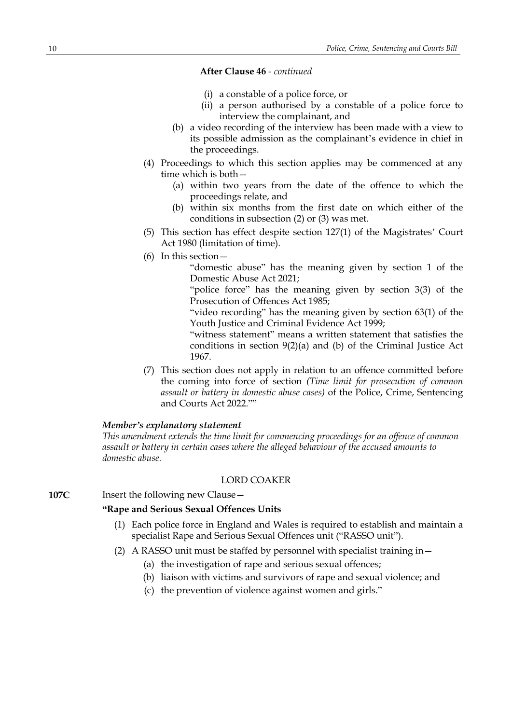- (i) a constable of a police force, or
- (ii) a person authorised by a constable of a police force to interview the complainant, and
- (b) a video recording of the interview has been made with a view to its possible admission as the complainant's evidence in chief in the proceedings.
- (4) Proceedings to which this section applies may be commenced at any time which is both—
	- (a) within two years from the date of the offence to which the proceedings relate, and
	- (b) within six months from the first date on which either of the conditions in subsection (2) or (3) was met.
- (5) This section has effect despite section 127(1) of the Magistrates' Court Act 1980 (limitation of time).
- (6) In this section—

"domestic abuse" has the meaning given by section 1 of the Domestic Abuse Act 2021;

"police force" has the meaning given by section 3(3) of the Prosecution of Offences Act 1985;

"video recording" has the meaning given by section 63(1) of the Youth Justice and Criminal Evidence Act 1999;

"witness statement" means a written statement that satisfies the conditions in section 9(2)(a) and (b) of the Criminal Justice Act 1967.

(7) This section does not apply in relation to an offence committed before the coming into force of section *(Time limit for prosecution of common assault or battery in domestic abuse cases)* of the Police, Crime, Sentencing and Courts Act 2022.""

#### *Member's explanatory statement*

*This amendment extends the time limit for commencing proceedings for an offence of common assault or battery in certain cases where the alleged behaviour of the accused amounts to domestic abuse.*

#### LORD COAKER

**107C** Insert the following new Clause -

### **"Rape and Serious Sexual Offences Units**

- (1) Each police force in England and Wales is required to establish and maintain a specialist Rape and Serious Sexual Offences unit ("RASSO unit").
- (2) A RASSO unit must be staffed by personnel with specialist training in—
	- (a) the investigation of rape and serious sexual offences;
	- (b) liaison with victims and survivors of rape and sexual violence; and
	- (c) the prevention of violence against women and girls."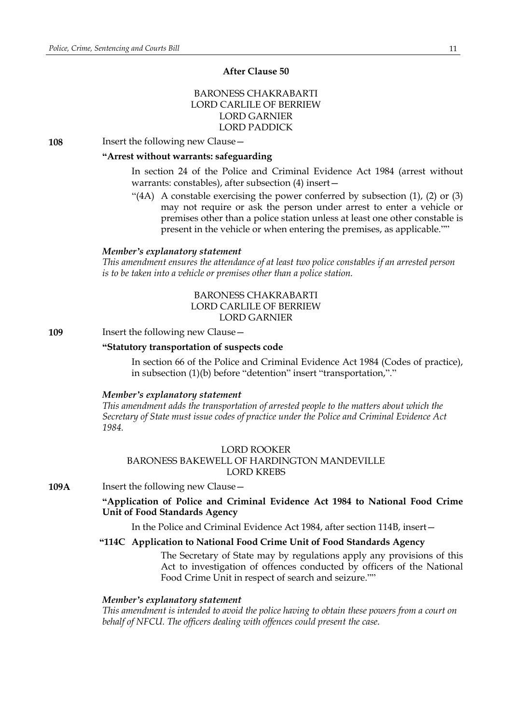### **After Clause 50**

### BARONESS CHAKRABARTI LORD CARLILE OF BERRIEW LORD GARNIER LORD PADDICK

**108** Insert the following new Clause—

### **"Arrest without warrants: safeguarding**

In section 24 of the Police and Criminal Evidence Act 1984 (arrest without warrants: constables), after subsection (4) insert—

"(4A) A constable exercising the power conferred by subsection (1), (2) or (3) may not require or ask the person under arrest to enter a vehicle or premises other than a police station unless at least one other constable is present in the vehicle or when entering the premises, as applicable.""

#### *Member's explanatory statement*

*This amendment ensures the attendance of at least two police constables if an arrested person is to be taken into a vehicle or premises other than a police station.*

### BARONESS CHAKRABARTI LORD CARLILE OF BERRIEW LORD GARNIER

#### **109** Insert the following new Clause -

#### **"Statutory transportation of suspects code**

In section 66 of the Police and Criminal Evidence Act 1984 (Codes of practice), in subsection (1)(b) before "detention" insert "transportation,"."

#### *Member's explanatory statement*

*This amendment adds the transportation of arrested people to the matters about which the Secretary of State must issue codes of practice under the Police and Criminal Evidence Act 1984.*

### LORD ROOKER BARONESS BAKEWELL OF HARDINGTON MANDEVILLE LORD KREBS

**109A** Insert the following new Clause –

### **"Application of Police and Criminal Evidence Act 1984 to National Food Crime Unit of Food Standards Agency**

In the Police and Criminal Evidence Act 1984, after section 114B, insert—

### **"114C Application to National Food Crime Unit of Food Standards Agency**

The Secretary of State may by regulations apply any provisions of this Act to investigation of offences conducted by officers of the National Food Crime Unit in respect of search and seizure.""

#### *Member's explanatory statement*

*This amendment is intended to avoid the police having to obtain these powers from a court on behalf of NFCU. The officers dealing with offences could present the case.*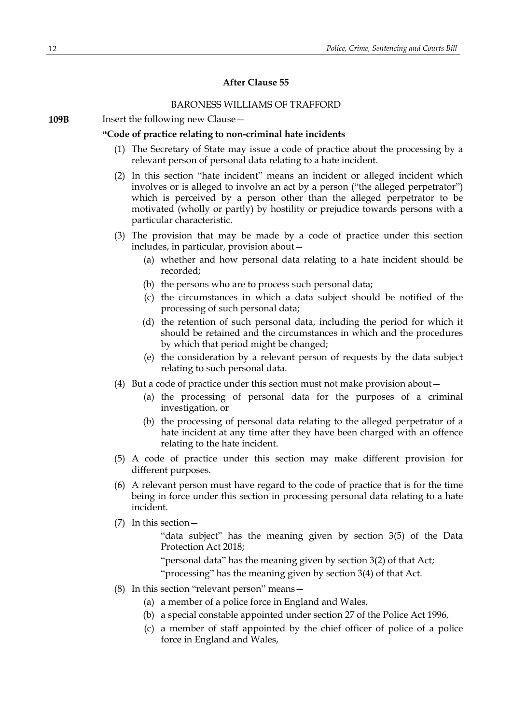### **After Clause 55**

### BARONESS WILLIAMS OF TRAFFORD

**109B** Insert the following new Clause -

#### **"Code of practice relating to non-criminal hate incidents**

- (1) The Secretary of State may issue a code of practice about the processing by a relevant person of personal data relating to a hate incident.
- (2) In this section "hate incident" means an incident or alleged incident which involves or is alleged to involve an act by a person ("the alleged perpetrator") which is perceived by a person other than the alleged perpetrator to be motivated (wholly or partly) by hostility or prejudice towards persons with a particular characteristic.
- (3) The provision that may be made by a code of practice under this section includes, in particular, provision about—
	- (a) whether and how personal data relating to a hate incident should be recorded;
	- (b) the persons who are to process such personal data;
	- (c) the circumstances in which a data subject should be notified of the processing of such personal data;
	- (d) the retention of such personal data, including the period for which it should be retained and the circumstances in which and the procedures by which that period might be changed;
	- (e) the consideration by a relevant person of requests by the data subject relating to such personal data.
- (4) But a code of practice under this section must not make provision about—
	- (a) the processing of personal data for the purposes of a criminal investigation, or
	- (b) the processing of personal data relating to the alleged perpetrator of a hate incident at any time after they have been charged with an offence relating to the hate incident.
- (5) A code of practice under this section may make different provision for different purposes.
- (6) A relevant person must have regard to the code of practice that is for the time being in force under this section in processing personal data relating to a hate incident.
- (7) In this section—

"data subject" has the meaning given by section 3(5) of the Data Protection Act 2018;

"personal data" has the meaning given by section 3(2) of that Act;

"processing" has the meaning given by section 3(4) of that Act.

- (8) In this section "relevant person" means—
	- (a) a member of a police force in England and Wales,
	- (b) a special constable appointed under section 27 of the Police Act 1996,
	- (c) a member of staff appointed by the chief officer of police of a police force in England and Wales,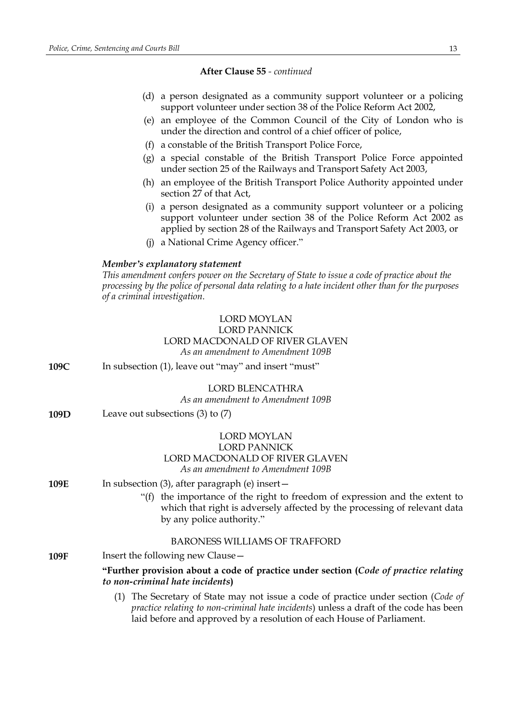- (d) a person designated as a community support volunteer or a policing support volunteer under section 38 of the Police Reform Act 2002,
- (e) an employee of the Common Council of the City of London who is under the direction and control of a chief officer of police,
- (f) a constable of the British Transport Police Force,
- (g) a special constable of the British Transport Police Force appointed under section 25 of the Railways and Transport Safety Act 2003,
- (h) an employee of the British Transport Police Authority appointed under section 27 of that Act,
- (i) a person designated as a community support volunteer or a policing support volunteer under section 38 of the Police Reform Act 2002 as applied by section 28 of the Railways and Transport Safety Act 2003, or
- (j) a National Crime Agency officer."

### *Member's explanatory statement*

*This amendment confers power on the Secretary of State to issue a code of practice about the processing by the police of personal data relating to a hate incident other than for the purposes of a criminal investigation.*

### LORD MOYLAN LORD PANNICK LORD MACDONALD OF RIVER GLAVEN *As an amendment to Amendment 109B*

**109C** In subsection (1), leave out "may" and insert "must"

### LORD BLENCATHRA

*As an amendment to Amendment 109B*

**109D** Leave out subsections (3) to (7)

### LORD MOYLAN LORD PANNICK LORD MACDONALD OF RIVER GLAVEN *As an amendment to Amendment 109B*

- **109E** In subsection (3), after paragraph (e) insert -
	- "(f) the importance of the right to freedom of expression and the extent to which that right is adversely affected by the processing of relevant data by any police authority."

### BARONESS WILLIAMS OF TRAFFORD

**109F** Insert the following new Clause –

**"Further provision about a code of practice under section (***Code of practice relating to non-criminal hate incidents***)**

(1) The Secretary of State may not issue a code of practice under section (*Code of practice relating to non-criminal hate incidents*) unless a draft of the code has been laid before and approved by a resolution of each House of Parliament.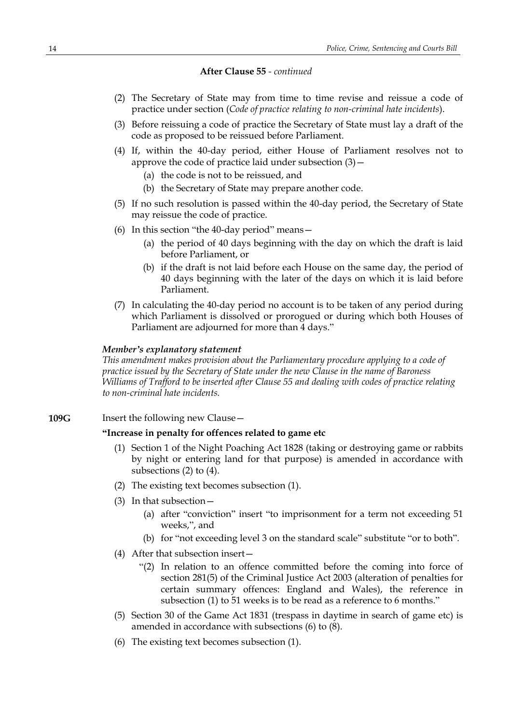- (2) The Secretary of State may from time to time revise and reissue a code of practice under section (*Code of practice relating to non-criminal hate incidents*).
- (3) Before reissuing a code of practice the Secretary of State must lay a draft of the code as proposed to be reissued before Parliament.
- (4) If, within the 40-day period, either House of Parliament resolves not to approve the code of practice laid under subsection  $(3)$  -
	- (a) the code is not to be reissued, and
	- (b) the Secretary of State may prepare another code.
- (5) If no such resolution is passed within the 40-day period, the Secretary of State may reissue the code of practice.
- (6) In this section "the 40-day period" means—
	- (a) the period of 40 days beginning with the day on which the draft is laid before Parliament, or
	- (b) if the draft is not laid before each House on the same day, the period of 40 days beginning with the later of the days on which it is laid before Parliament.
- (7) In calculating the 40-day period no account is to be taken of any period during which Parliament is dissolved or prorogued or during which both Houses of Parliament are adjourned for more than 4 days."

#### *Member's explanatory statement*

*This amendment makes provision about the Parliamentary procedure applying to a code of practice issued by the Secretary of State under the new Clause in the name of Baroness Williams of Trafford to be inserted after Clause 55 and dealing with codes of practice relating to non-criminal hate incidents.*

**109G** Insert the following new Clause –

### **"Increase in penalty for offences related to game etc**

- (1) Section 1 of the Night Poaching Act 1828 (taking or destroying game or rabbits by night or entering land for that purpose) is amended in accordance with subsections (2) to (4).
- (2) The existing text becomes subsection (1).
- (3) In that subsection—
	- (a) after "conviction" insert "to imprisonment for a term not exceeding 51 weeks,", and
	- (b) for "not exceeding level 3 on the standard scale" substitute "or to both".
- (4) After that subsection insert—
	- "(2) In relation to an offence committed before the coming into force of section 281(5) of the Criminal Justice Act 2003 (alteration of penalties for certain summary offences: England and Wales), the reference in subsection (1) to 51 weeks is to be read as a reference to 6 months."
- (5) Section 30 of the Game Act 1831 (trespass in daytime in search of game etc) is amended in accordance with subsections (6) to (8).
- (6) The existing text becomes subsection (1).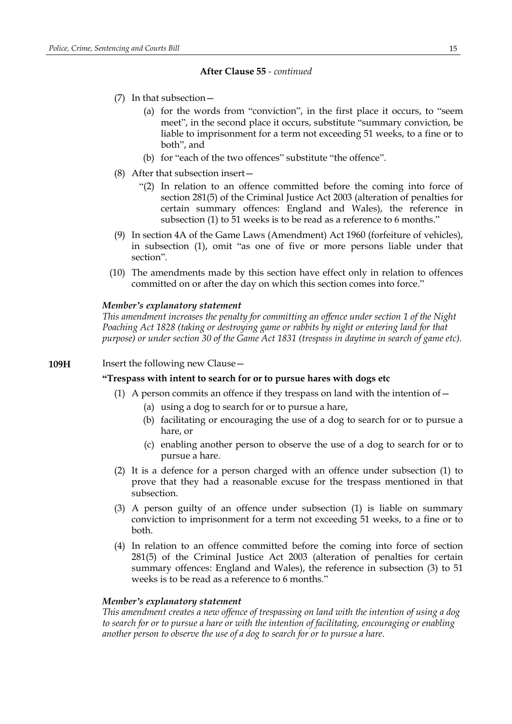- (7) In that subsection—
	- (a) for the words from "conviction", in the first place it occurs, to "seem meet", in the second place it occurs, substitute "summary conviction, be liable to imprisonment for a term not exceeding 51 weeks, to a fine or to both", and
	- (b) for "each of the two offences" substitute "the offence".
- (8) After that subsection insert—
	- "(2) In relation to an offence committed before the coming into force of section 281(5) of the Criminal Justice Act 2003 (alteration of penalties for certain summary offences: England and Wales), the reference in subsection (1) to 51 weeks is to be read as a reference to 6 months."
- (9) In section 4A of the Game Laws (Amendment) Act 1960 (forfeiture of vehicles), in subsection (1), omit "as one of five or more persons liable under that section".
- (10) The amendments made by this section have effect only in relation to offences committed on or after the day on which this section comes into force."

#### *Member's explanatory statement*

*This amendment increases the penalty for committing an offence under section 1 of the Night Poaching Act 1828 (taking or destroying game or rabbits by night or entering land for that purpose) or under section 30 of the Game Act 1831 (trespass in daytime in search of game etc).*

#### **109H** Insert the following new Clause -

#### **"Trespass with intent to search for or to pursue hares with dogs etc**

- (1) A person commits an offence if they trespass on land with the intention of  $-$ 
	- (a) using a dog to search for or to pursue a hare,
	- (b) facilitating or encouraging the use of a dog to search for or to pursue a hare, or
	- (c) enabling another person to observe the use of a dog to search for or to pursue a hare.
- (2) It is a defence for a person charged with an offence under subsection (1) to prove that they had a reasonable excuse for the trespass mentioned in that subsection.
- (3) A person guilty of an offence under subsection (1) is liable on summary conviction to imprisonment for a term not exceeding 51 weeks, to a fine or to both.
- (4) In relation to an offence committed before the coming into force of section 281(5) of the Criminal Justice Act 2003 (alteration of penalties for certain summary offences: England and Wales), the reference in subsection (3) to 51 weeks is to be read as a reference to 6 months."

#### *Member's explanatory statement*

*This amendment creates a new offence of trespassing on land with the intention of using a dog to search for or to pursue a hare or with the intention of facilitating, encouraging or enabling another person to observe the use of a dog to search for or to pursue a hare.*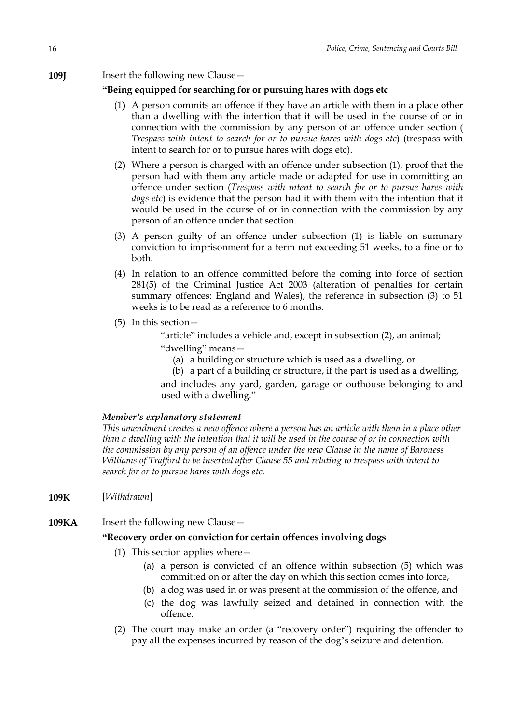**109J** Insert the following new Clause -

### **"Being equipped for searching for or pursuing hares with dogs etc**

- (1) A person commits an offence if they have an article with them in a place other than a dwelling with the intention that it will be used in the course of or in connection with the commission by any person of an offence under section ( *Trespass with intent to search for or to pursue hares with dogs etc*) (trespass with intent to search for or to pursue hares with dogs etc).
- (2) Where a person is charged with an offence under subsection (1), proof that the person had with them any article made or adapted for use in committing an offence under section (*Trespass with intent to search for or to pursue hares with dogs etc*) is evidence that the person had it with them with the intention that it would be used in the course of or in connection with the commission by any person of an offence under that section.
- (3) A person guilty of an offence under subsection (1) is liable on summary conviction to imprisonment for a term not exceeding 51 weeks, to a fine or to both.
- (4) In relation to an offence committed before the coming into force of section 281(5) of the Criminal Justice Act 2003 (alteration of penalties for certain summary offences: England and Wales), the reference in subsection (3) to 51 weeks is to be read as a reference to 6 months.
- (5) In this section—

"article" includes a vehicle and, except in subsection (2), an animal;

"dwelling" means—

(a) a building or structure which is used as a dwelling, or

(b) a part of a building or structure, if the part is used as a dwelling, and includes any yard, garden, garage or outhouse belonging to and used with a dwelling."

#### *Member's explanatory statement*

*This amendment creates a new offence where a person has an article with them in a place other* than a dwelling with the intention that it will be used in the course of or in connection with *the commission by any person of an offence under the new Clause in the name of Baroness Williams of Trafford to be inserted after Clause 55 and relating to trespass with intent to search for or to pursue hares with dogs etc.*

- **109K** [*Withdrawn*]
- **109KA** Insert the following new Clause -

### **"Recovery order on conviction for certain offences involving dogs**

- (1) This section applies where—
	- (a) a person is convicted of an offence within subsection (5) which was committed on or after the day on which this section comes into force,
	- (b) a dog was used in or was present at the commission of the offence, and
	- (c) the dog was lawfully seized and detained in connection with the offence.
- (2) The court may make an order (a "recovery order") requiring the offender to pay all the expenses incurred by reason of the dog's seizure and detention.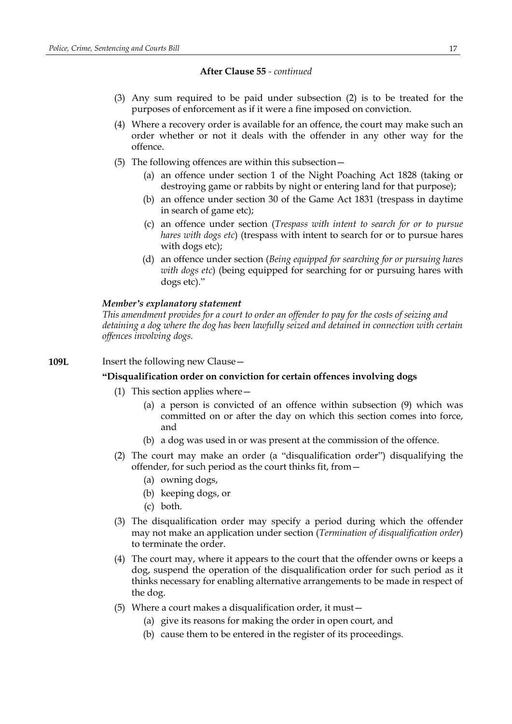- (3) Any sum required to be paid under subsection (2) is to be treated for the purposes of enforcement as if it were a fine imposed on conviction.
- (4) Where a recovery order is available for an offence, the court may make such an order whether or not it deals with the offender in any other way for the offence.
- (5) The following offences are within this subsection—
	- (a) an offence under section 1 of the Night Poaching Act 1828 (taking or destroying game or rabbits by night or entering land for that purpose);
	- (b) an offence under section 30 of the Game Act 1831 (trespass in daytime in search of game etc);
	- (c) an offence under section (*Trespass with intent to search for or to pursue hares with dogs etc*) (trespass with intent to search for or to pursue hares with dogs etc);
	- (d) an offence under section (*Being equipped for searching for or pursuing hares with dogs etc*) (being equipped for searching for or pursuing hares with dogs etc)."

#### *Member's explanatory statement*

*This amendment provides for a court to order an offender to pay for the costs of seizing and detaining a dog where the dog has been lawfully seized and detained in connection with certain offences involving dogs.*

### **109L** Insert the following new Clause -

### **"Disqualification order on conviction for certain offences involving dogs**

- (1) This section applies where—
	- (a) a person is convicted of an offence within subsection (9) which was committed on or after the day on which this section comes into force, and
	- (b) a dog was used in or was present at the commission of the offence.
- (2) The court may make an order (a "disqualification order") disqualifying the offender, for such period as the court thinks fit, from—
	- (a) owning dogs,
	- (b) keeping dogs, or
	- (c) both.
- (3) The disqualification order may specify a period during which the offender may not make an application under section (*Termination of disqualification order*) to terminate the order.
- (4) The court may, where it appears to the court that the offender owns or keeps a dog, suspend the operation of the disqualification order for such period as it thinks necessary for enabling alternative arrangements to be made in respect of the dog.
- (5) Where a court makes a disqualification order, it must—
	- (a) give its reasons for making the order in open court, and
	- (b) cause them to be entered in the register of its proceedings.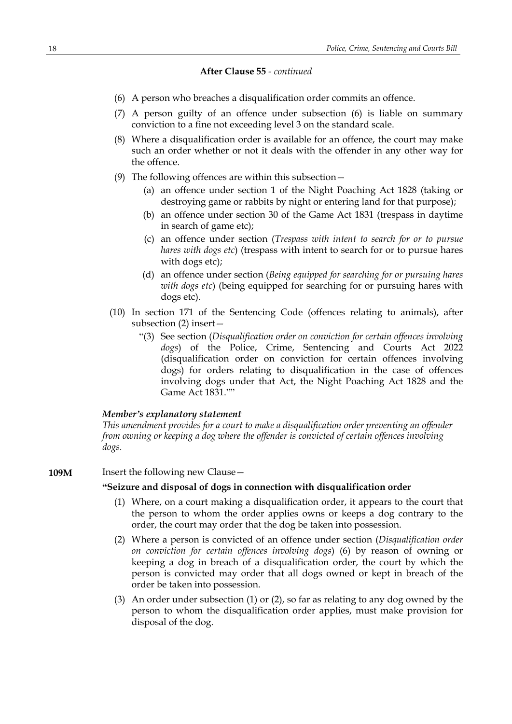- (6) A person who breaches a disqualification order commits an offence.
- (7) A person guilty of an offence under subsection (6) is liable on summary conviction to a fine not exceeding level 3 on the standard scale.
- (8) Where a disqualification order is available for an offence, the court may make such an order whether or not it deals with the offender in any other way for the offence.
- (9) The following offences are within this subsection—
	- (a) an offence under section 1 of the Night Poaching Act 1828 (taking or destroying game or rabbits by night or entering land for that purpose);
	- (b) an offence under section 30 of the Game Act 1831 (trespass in daytime in search of game etc);
	- (c) an offence under section (*Trespass with intent to search for or to pursue hares with dogs etc*) (trespass with intent to search for or to pursue hares with dogs etc);
	- (d) an offence under section (*Being equipped for searching for or pursuing hares with dogs etc*) (being equipped for searching for or pursuing hares with dogs etc).
- (10) In section 171 of the Sentencing Code (offences relating to animals), after subsection (2) insert—
	- "(3) See section (*Disqualification order on conviction for certain offences involving dogs*) of the Police, Crime, Sentencing and Courts Act 2022 (disqualification order on conviction for certain offences involving dogs) for orders relating to disqualification in the case of offences involving dogs under that Act, the Night Poaching Act 1828 and the Game Act 1831.""

#### *Member's explanatory statement*

*This amendment provides for a court to make a disqualification order preventing an offender from owning or keeping a dog where the offender is convicted of certain offences involving dogs.*

**109M** Insert the following new Clause –

#### **"Seizure and disposal of dogs in connection with disqualification order**

- (1) Where, on a court making a disqualification order, it appears to the court that the person to whom the order applies owns or keeps a dog contrary to the order, the court may order that the dog be taken into possession.
- (2) Where a person is convicted of an offence under section (*Disqualification order on conviction for certain offences involving dogs*) (6) by reason of owning or keeping a dog in breach of a disqualification order, the court by which the person is convicted may order that all dogs owned or kept in breach of the order be taken into possession.
- (3) An order under subsection (1) or (2), so far as relating to any dog owned by the person to whom the disqualification order applies, must make provision for disposal of the dog.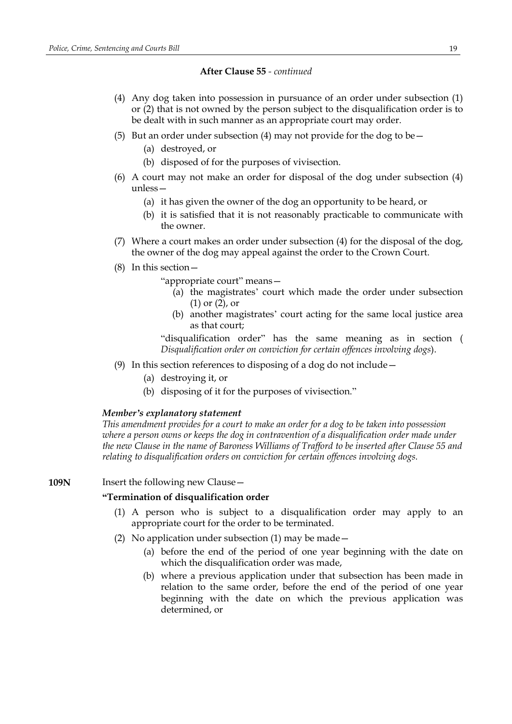- (4) Any dog taken into possession in pursuance of an order under subsection (1) or (2) that is not owned by the person subject to the disqualification order is to be dealt with in such manner as an appropriate court may order.
- (5) But an order under subsection (4) may not provide for the dog to be  $-$ 
	- (a) destroyed, or
	- (b) disposed of for the purposes of vivisection.
- (6) A court may not make an order for disposal of the dog under subsection (4) unless—
	- (a) it has given the owner of the dog an opportunity to be heard, or
	- (b) it is satisfied that it is not reasonably practicable to communicate with the owner.
- (7) Where a court makes an order under subsection (4) for the disposal of the dog, the owner of the dog may appeal against the order to the Crown Court.
- (8) In this section—

"appropriate court" means—

- (a) the magistrates' court which made the order under subsection (1) or (2), or
- (b) another magistrates' court acting for the same local justice area as that court;

"disqualification order" has the same meaning as in section ( *Disqualification order on conviction for certain offences involving dogs*).

- (9) In this section references to disposing of a dog do not include—
	- (a) destroying it, or
	- (b) disposing of it for the purposes of vivisection."

#### *Member's explanatory statement*

*This amendment provides for a court to make an order for a dog to be taken into possession where a person owns or keeps the dog in contravention of a disqualification order made under the new Clause in the name of Baroness Williams of Trafford to be inserted after Clause 55 and relating to disqualification orders on conviction for certain offences involving dogs.*

#### **109N** Insert the following new Clause –

#### **"Termination of disqualification order**

- (1) A person who is subject to a disqualification order may apply to an appropriate court for the order to be terminated.
- (2) No application under subsection (1) may be made—
	- (a) before the end of the period of one year beginning with the date on which the disqualification order was made,
	- (b) where a previous application under that subsection has been made in relation to the same order, before the end of the period of one year beginning with the date on which the previous application was determined, or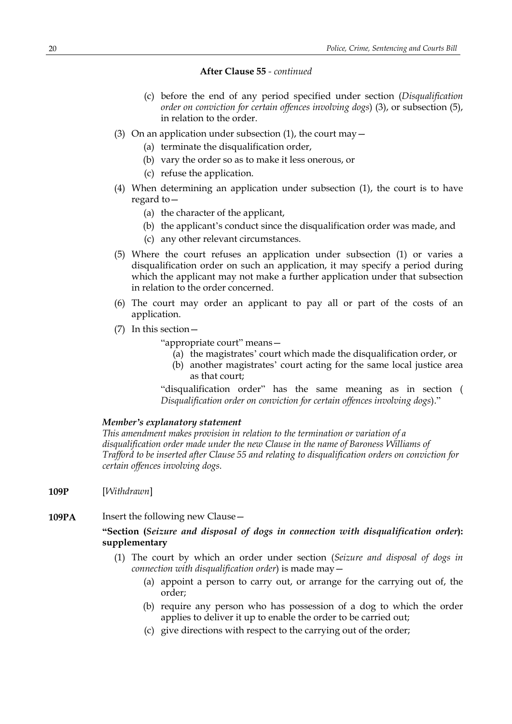- (c) before the end of any period specified under section (*Disqualification order on conviction for certain offences involving dogs*) (3), or subsection (5), in relation to the order.
- (3) On an application under subsection (1), the court may  $-$ 
	- (a) terminate the disqualification order.
	- (b) vary the order so as to make it less onerous, or
	- (c) refuse the application.
- (4) When determining an application under subsection (1), the court is to have regard to—
	- (a) the character of the applicant,
	- (b) the applicant's conduct since the disqualification order was made, and
	- (c) any other relevant circumstances.
- (5) Where the court refuses an application under subsection (1) or varies a disqualification order on such an application, it may specify a period during which the applicant may not make a further application under that subsection in relation to the order concerned.
- (6) The court may order an applicant to pay all or part of the costs of an application.
- (7) In this section—

"appropriate court" means—

- (a) the magistrates' court which made the disqualification order, or
- (b) another magistrates' court acting for the same local justice area as that court;

"disqualification order" has the same meaning as in section ( *Disqualification order on conviction for certain offences involving dogs*)."

#### *Member's explanatory statement*

*This amendment makes provision in relation to the termination or variation of a disqualification order made under the new Clause in the name of Baroness Williams of Trafford to be inserted after Clause 55 and relating to disqualification orders on conviction for certain offences involving dogs.*

- **109P** [*Withdrawn*]
- **109PA** Insert the following new Clause -

### **"Section (***Seizure and disposal of dogs in connection with disqualification order***): supplementary**

- (1) The court by which an order under section (*Seizure and disposal of dogs in connection with disqualification order*) is made may—
	- (a) appoint a person to carry out, or arrange for the carrying out of, the order;
	- (b) require any person who has possession of a dog to which the order applies to deliver it up to enable the order to be carried out;
	- (c) give directions with respect to the carrying out of the order;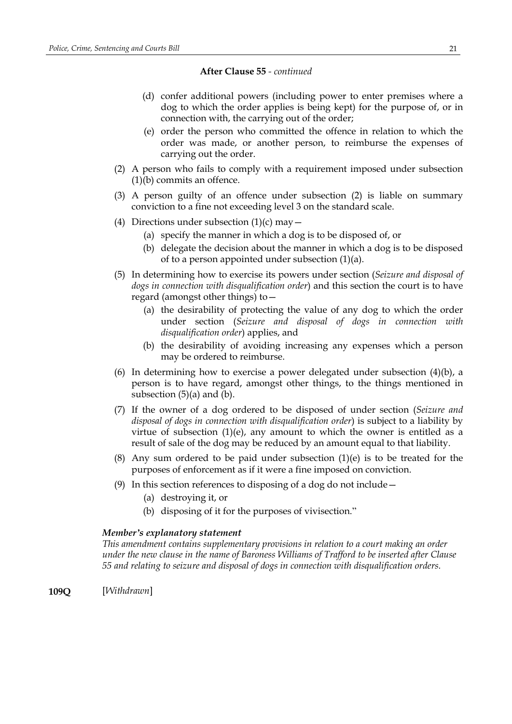- (d) confer additional powers (including power to enter premises where a dog to which the order applies is being kept) for the purpose of, or in connection with, the carrying out of the order;
- (e) order the person who committed the offence in relation to which the order was made, or another person, to reimburse the expenses of carrying out the order.
- (2) A person who fails to comply with a requirement imposed under subsection (1)(b) commits an offence.
- (3) A person guilty of an offence under subsection (2) is liable on summary conviction to a fine not exceeding level 3 on the standard scale.
- (4) Directions under subsection  $(1)(c)$  may  $-$ 
	- (a) specify the manner in which a dog is to be disposed of, or
	- (b) delegate the decision about the manner in which a dog is to be disposed of to a person appointed under subsection (1)(a).
- (5) In determining how to exercise its powers under section (*Seizure and disposal of dogs in connection with disqualification order*) and this section the court is to have regard (amongst other things) to—
	- (a) the desirability of protecting the value of any dog to which the order under section (*Seizure and disposal of dogs in connection with disqualification order*) applies, and
	- (b) the desirability of avoiding increasing any expenses which a person may be ordered to reimburse.
- (6) In determining how to exercise a power delegated under subsection (4)(b), a person is to have regard, amongst other things, to the things mentioned in subsection  $(5)(a)$  and  $(b)$ .
- (7) If the owner of a dog ordered to be disposed of under section (*Seizure and disposal of dogs in connection with disqualification order*) is subject to a liability by virtue of subsection  $(1)(e)$ , any amount to which the owner is entitled as a result of sale of the dog may be reduced by an amount equal to that liability.
- (8) Any sum ordered to be paid under subsection (1)(e) is to be treated for the purposes of enforcement as if it were a fine imposed on conviction.
- (9) In this section references to disposing of a dog do not include—
	- (a) destroying it, or
	- (b) disposing of it for the purposes of vivisection."

#### *Member's explanatory statement*

*This amendment contains supplementary provisions in relation to a court making an order under the new clause in the name of Baroness Williams of Trafford to be inserted after Clause 55 and relating to seizure and disposal of dogs in connection with disqualification orders.*

**109Q** [*Withdrawn*]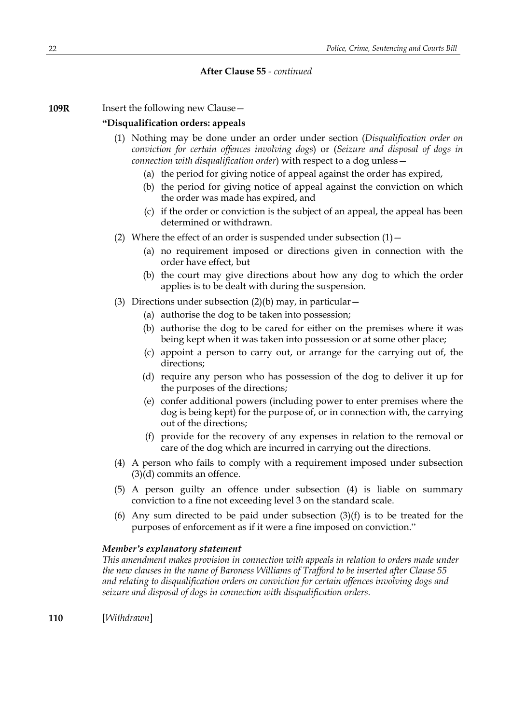**109R** Insert the following new Clause -

### **"Disqualification orders: appeals**

- (1) Nothing may be done under an order under section (*Disqualification order on conviction for certain offences involving dogs*) or (*Seizure and disposal of dogs in connection with disqualification order*) with respect to a dog unless—
	- (a) the period for giving notice of appeal against the order has expired,
	- (b) the period for giving notice of appeal against the conviction on which the order was made has expired, and
	- (c) if the order or conviction is the subject of an appeal, the appeal has been determined or withdrawn.
- (2) Where the effect of an order is suspended under subsection  $(1)$  -
	- (a) no requirement imposed or directions given in connection with the order have effect, but
	- (b) the court may give directions about how any dog to which the order applies is to be dealt with during the suspension.
- (3) Directions under subsection  $(2)(b)$  may, in particular  $-$ 
	- (a) authorise the dog to be taken into possession;
	- (b) authorise the dog to be cared for either on the premises where it was being kept when it was taken into possession or at some other place;
	- (c) appoint a person to carry out, or arrange for the carrying out of, the directions;
	- (d) require any person who has possession of the dog to deliver it up for the purposes of the directions;
	- (e) confer additional powers (including power to enter premises where the dog is being kept) for the purpose of, or in connection with, the carrying out of the directions;
	- (f) provide for the recovery of any expenses in relation to the removal or care of the dog which are incurred in carrying out the directions.
- (4) A person who fails to comply with a requirement imposed under subsection (3)(d) commits an offence.
- (5) A person guilty an offence under subsection (4) is liable on summary conviction to a fine not exceeding level 3 on the standard scale.
- (6) Any sum directed to be paid under subsection  $(3)(f)$  is to be treated for the purposes of enforcement as if it were a fine imposed on conviction."

### *Member's explanatory statement*

*This amendment makes provision in connection with appeals in relation to orders made under the new clauses in the name of Baroness Williams of Trafford to be inserted after Clause 55 and relating to disqualification orders on conviction for certain offences involving dogs and seizure and disposal of dogs in connection with disqualification orders.*

**110** [*Withdrawn*]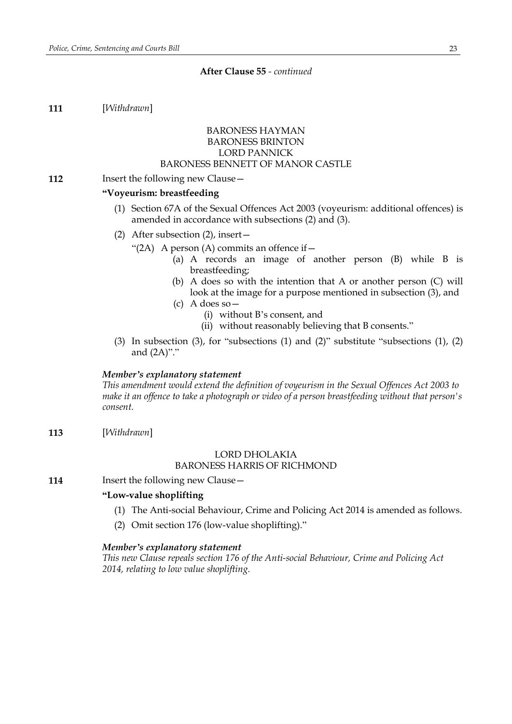**111** [*Withdrawn*]

### BARONESS HAYMAN BARONESS BRINTON LORD PANNICK BARONESS BENNETT OF MANOR CASTLE

#### **112** Insert the following new Clause -

### **"Voyeurism: breastfeeding**

- (1) Section 67A of the Sexual Offences Act 2003 (voyeurism: additional offences) is amended in accordance with subsections (2) and (3).
- (2) After subsection (2), insert—
	- "(2A) A person (A) commits an offence if  $-$ 
		- (a) A records an image of another person (B) while B is breastfeeding;
		- (b) A does so with the intention that A or another person (C) will look at the image for a purpose mentioned in subsection (3), and
		- (c) A does so—
			- (i) without B's consent, and
			- (ii) without reasonably believing that B consents."
- (3) In subsection (3), for "subsections (1) and (2)" substitute "subsections (1), (2) and (2A)"."

#### *Member's explanatory statement*

*This amendment would extend the definition of voyeurism in the Sexual Offences Act 2003 to make it an offence to take a photograph or video of a person breastfeeding without that person's consent.*

**113** [*Withdrawn*]

### LORD DHOLAKIA

### BARONESS HARRIS OF RICHMOND

**114** Insert the following new Clause –

### **"Low-value shoplifting**

- (1) The Anti-social Behaviour, Crime and Policing Act 2014 is amended as follows.
- (2) Omit section 176 (low-value shoplifting)."

#### *Member's explanatory statement*

*This new Clause repeals section 176 of the Anti-social Behaviour, Crime and Policing Act 2014, relating to low value shoplifting.*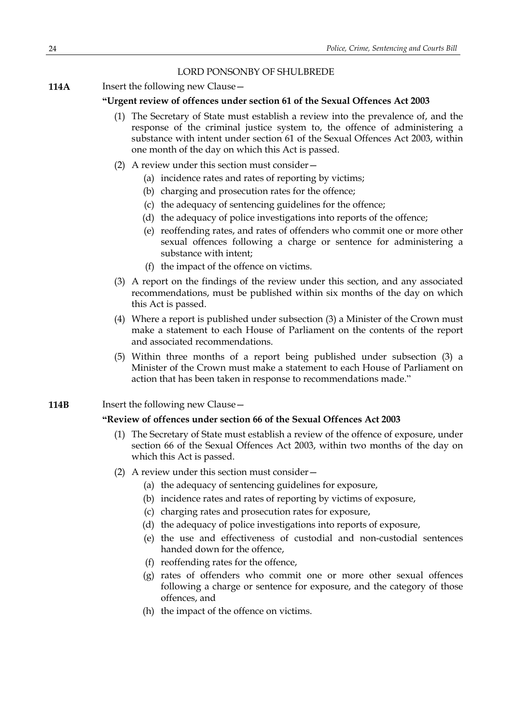### LORD PONSONBY OF SHULBREDE

**114A** Insert the following new Clause –

### **"Urgent review of offences under section 61 of the Sexual Offences Act 2003**

- (1) The Secretary of State must establish a review into the prevalence of, and the response of the criminal justice system to, the offence of administering a substance with intent under section 61 of the Sexual Offences Act 2003, within one month of the day on which this Act is passed.
- (2) A review under this section must consider—
	- (a) incidence rates and rates of reporting by victims;
	- (b) charging and prosecution rates for the offence;
	- (c) the adequacy of sentencing guidelines for the offence;
	- (d) the adequacy of police investigations into reports of the offence;
	- (e) reoffending rates, and rates of offenders who commit one or more other sexual offences following a charge or sentence for administering a substance with intent;
	- (f) the impact of the offence on victims.
- (3) A report on the findings of the review under this section, and any associated recommendations, must be published within six months of the day on which this Act is passed.
- (4) Where a report is published under subsection (3) a Minister of the Crown must make a statement to each House of Parliament on the contents of the report and associated recommendations.
- (5) Within three months of a report being published under subsection (3) a Minister of the Crown must make a statement to each House of Parliament on action that has been taken in response to recommendations made."
- **114B** Insert the following new Clause –

#### **"Review of offences under section 66 of the Sexual Offences Act 2003**

- (1) The Secretary of State must establish a review of the offence of exposure, under section 66 of the Sexual Offences Act 2003, within two months of the day on which this Act is passed.
- (2) A review under this section must consider—
	- (a) the adequacy of sentencing guidelines for exposure,
	- (b) incidence rates and rates of reporting by victims of exposure,
	- (c) charging rates and prosecution rates for exposure,
	- (d) the adequacy of police investigations into reports of exposure,
	- (e) the use and effectiveness of custodial and non-custodial sentences handed down for the offence,
	- (f) reoffending rates for the offence,
	- (g) rates of offenders who commit one or more other sexual offences following a charge or sentence for exposure, and the category of those offences, and
	- (h) the impact of the offence on victims.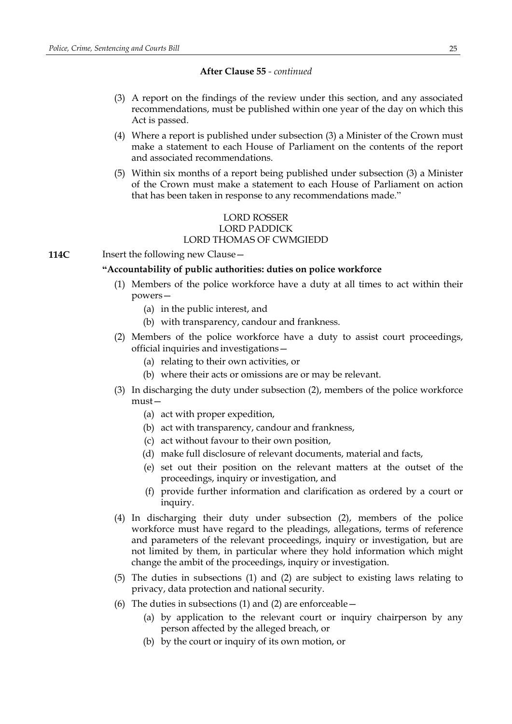- (3) A report on the findings of the review under this section, and any associated recommendations, must be published within one year of the day on which this Act is passed.
- (4) Where a report is published under subsection (3) a Minister of the Crown must make a statement to each House of Parliament on the contents of the report and associated recommendations.
- (5) Within six months of a report being published under subsection (3) a Minister of the Crown must make a statement to each House of Parliament on action that has been taken in response to any recommendations made."

### LORD ROSSER LORD PADDICK LORD THOMAS OF CWMGIEDD

**114C** Insert the following new Clause –

### **"Accountability of public authorities: duties on police workforce**

- (1) Members of the police workforce have a duty at all times to act within their powers—
	- (a) in the public interest, and
	- (b) with transparency, candour and frankness.
- (2) Members of the police workforce have a duty to assist court proceedings, official inquiries and investigations—
	- (a) relating to their own activities, or
	- (b) where their acts or omissions are or may be relevant.
- (3) In discharging the duty under subsection (2), members of the police workforce must—
	- (a) act with proper expedition,
	- (b) act with transparency, candour and frankness,
	- (c) act without favour to their own position,
	- (d) make full disclosure of relevant documents, material and facts,
	- (e) set out their position on the relevant matters at the outset of the proceedings, inquiry or investigation, and
	- (f) provide further information and clarification as ordered by a court or inquiry.
- (4) In discharging their duty under subsection (2), members of the police workforce must have regard to the pleadings, allegations, terms of reference and parameters of the relevant proceedings, inquiry or investigation, but are not limited by them, in particular where they hold information which might change the ambit of the proceedings, inquiry or investigation.
- (5) The duties in subsections (1) and (2) are subject to existing laws relating to privacy, data protection and national security.
- (6) The duties in subsections (1) and (2) are enforceable  $-$ 
	- (a) by application to the relevant court or inquiry chairperson by any person affected by the alleged breach, or
	- (b) by the court or inquiry of its own motion, or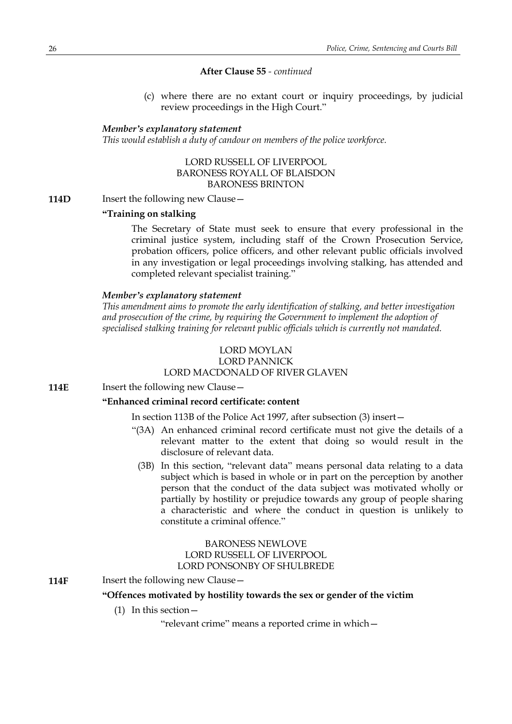(c) where there are no extant court or inquiry proceedings, by judicial review proceedings in the High Court."

#### *Member's explanatory statement*

*This would establish a duty of candour on members of the police workforce.*

LORD RUSSELL OF LIVERPOOL BARONESS ROYALL OF BLAISDON BARONESS BRINTON

**114D** Insert the following new Clause –

### **"Training on stalking**

The Secretary of State must seek to ensure that every professional in the criminal justice system, including staff of the Crown Prosecution Service, probation officers, police officers, and other relevant public officials involved in any investigation or legal proceedings involving stalking, has attended and completed relevant specialist training."

#### *Member's explanatory statement*

*This amendment aims to promote the early identification of stalking, and better investigation and prosecution of the crime, by requiring the Government to implement the adoption of specialised stalking training for relevant public officials which is currently not mandated.*

#### LORD MOYLAN LORD PANNICK

### LORD MACDONALD OF RIVER GLAVEN

**114E** Insert the following new Clause -

### **"Enhanced criminal record certificate: content**

In section 113B of the Police Act 1997, after subsection (3) insert—

- "(3A) An enhanced criminal record certificate must not give the details of a relevant matter to the extent that doing so would result in the disclosure of relevant data.
	- (3B) In this section, "relevant data" means personal data relating to a data subject which is based in whole or in part on the perception by another person that the conduct of the data subject was motivated wholly or partially by hostility or prejudice towards any group of people sharing a characteristic and where the conduct in question is unlikely to constitute a criminal offence."

### BARONESS NEWLOVE LORD RUSSELL OF LIVERPOOL LORD PONSONBY OF SHULBREDE

**114F** Insert the following new Clause -

### **"Offences motivated by hostility towards the sex or gender of the victim**

(1) In this section—

"relevant crime" means a reported crime in which—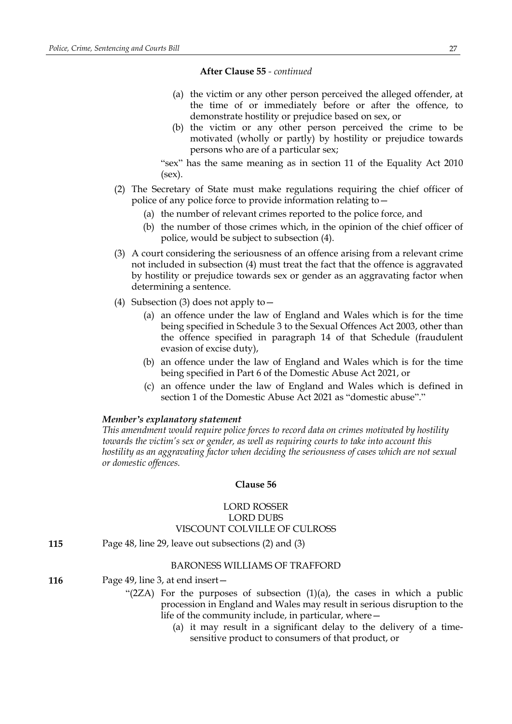- (a) the victim or any other person perceived the alleged offender, at the time of or immediately before or after the offence, to demonstrate hostility or prejudice based on sex, or
- (b) the victim or any other person perceived the crime to be motivated (wholly or partly) by hostility or prejudice towards persons who are of a particular sex;

"sex" has the same meaning as in section 11 of the Equality Act 2010 (sex).

- (2) The Secretary of State must make regulations requiring the chief officer of police of any police force to provide information relating to—
	- (a) the number of relevant crimes reported to the police force, and
	- (b) the number of those crimes which, in the opinion of the chief officer of police, would be subject to subsection (4).
- (3) A court considering the seriousness of an offence arising from a relevant crime not included in subsection (4) must treat the fact that the offence is aggravated by hostility or prejudice towards sex or gender as an aggravating factor when determining a sentence.
- (4) Subsection (3) does not apply to—
	- (a) an offence under the law of England and Wales which is for the time being specified in Schedule 3 to the Sexual Offences Act 2003, other than the offence specified in paragraph 14 of that Schedule (fraudulent evasion of excise duty),
	- (b) an offence under the law of England and Wales which is for the time being specified in Part 6 of the Domestic Abuse Act 2021, or
	- (c) an offence under the law of England and Wales which is defined in section 1 of the Domestic Abuse Act 2021 as "domestic abuse"."

### *Member's explanatory statement*

*This amendment would require police forces to record data on crimes motivated by hostility towards the victim's sex or gender, as well as requiring courts to take into account this hostility as an aggravating factor when deciding the seriousness of cases which are not sexual or domestic offences.*

#### **Clause 56**

### LORD ROSSER LORD DUBS VISCOUNT COLVILLE OF CULROSS

**115** Page 48, line 29, leave out subsections (2) and (3)

#### BARONESS WILLIAMS OF TRAFFORD

- **116** Page 49, line 3, at end insert—
	- " $(2ZA)$  For the purposes of subsection  $(1)(a)$ , the cases in which a public procession in England and Wales may result in serious disruption to the life of the community include, in particular, where—
		- (a) it may result in a significant delay to the delivery of a timesensitive product to consumers of that product, or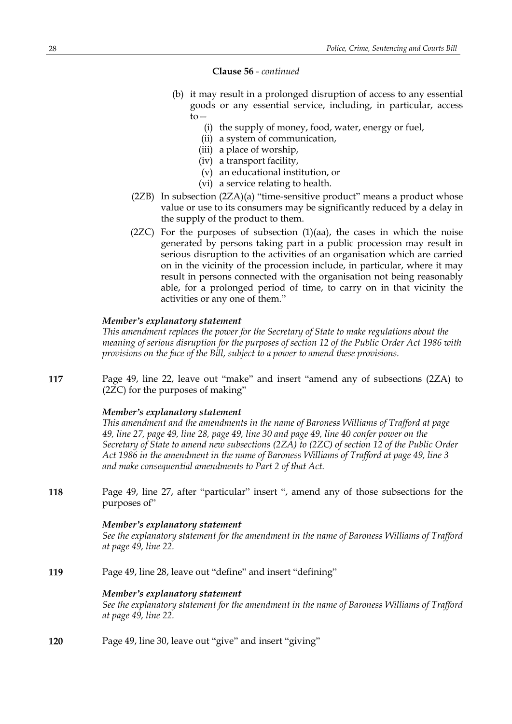#### **Clause 56** *- continued*

- (b) it may result in a prolonged disruption of access to any essential goods or any essential service, including, in particular, access  $to-$ 
	- (i) the supply of money, food, water, energy or fuel,
	- (ii) a system of communication,
	- (iii) a place of worship,
	- (iv) a transport facility,
	- (v) an educational institution, or
	- (vi) a service relating to health.
- (2ZB) In subsection (2ZA)(a) "time-sensitive product" means a product whose value or use to its consumers may be significantly reduced by a delay in the supply of the product to them.
- $(2ZC)$  For the purposes of subsection  $(1)(aa)$ , the cases in which the noise generated by persons taking part in a public procession may result in serious disruption to the activities of an organisation which are carried on in the vicinity of the procession include, in particular, where it may result in persons connected with the organisation not being reasonably able, for a prolonged period of time, to carry on in that vicinity the activities or any one of them."

#### *Member's explanatory statement*

*This amendment replaces the power for the Secretary of State to make regulations about the meaning of serious disruption for the purposes of section 12 of the Public Order Act 1986 with provisions on the face of the Bill, subject to a power to amend these provisions.*

**117** Page 49, line 22, leave out "make" and insert "amend any of subsections (2ZA) to (2ZC) for the purposes of making"

### *Member's explanatory statement*

*This amendment and the amendments in the name of Baroness Williams of Trafford at page* 49, line 27, page 49, line 28, page 49, line 30 and page 49, line 40 confer power on the *Secretary of State to amend new subsections (2ZA) to (2ZC) of section 12 of the Public Order Act 1986 in the amendment in the name of Baroness Williams of Trafford at page 49, line 3 and make consequential amendments to Part 2 of that Act.*

**118** Page 49, line 27, after "particular" insert ", amend any of those subsections for the purposes of"

#### *Member's explanatory statement*

*See the explanatory statement for the amendment in the name of Baroness Williams of Trafford at page 49, line 22.*

**119** Page 49, line 28, leave out "define" and insert "defining"

#### *Member's explanatory statement*

*See the explanatory statement for the amendment in the name of Baroness Williams of Trafford at page 49, line 22.*

**120** Page 49, line 30, leave out "give" and insert "giving"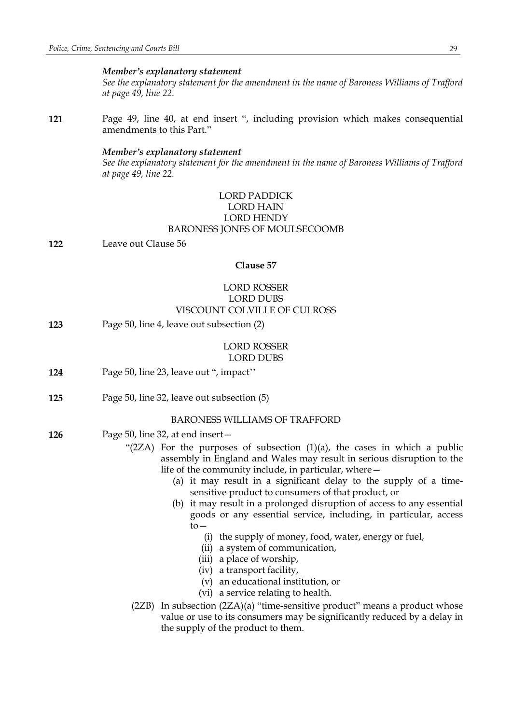#### *Member's explanatory statement*

*See the explanatory statement for the amendment in the name of Baroness Williams of Trafford at page 49, line 22.*

**121** Page 49, line 40, at end insert ", including provision which makes consequential amendments to this Part."

#### *Member's explanatory statement*

*See the explanatory statement for the amendment in the name of Baroness Williams of Trafford at page 49, line 22.*

### LORD PADDICK LORD HAIN LORD HENDY BARONESS JONES OF MOULSECOOMB

**122** Leave out Clause 56

#### **Clause 57**

### LORD ROSSER LORD DUBS VISCOUNT COLVILLE OF CULROSS

**123** Page 50, line 4, leave out subsection (2)

#### LORD ROSSER LORD DUBS

- **124** Page 50, line 23, leave out ", impact''
- **125** Page 50, line 32, leave out subsection (5)

#### BARONESS WILLIAMS OF TRAFFORD

- **126** Page 50, line 32, at end insert—
	- "(2ZA) For the purposes of subsection  $(1)(a)$ , the cases in which a public assembly in England and Wales may result in serious disruption to the life of the community include, in particular, where—
		- (a) it may result in a significant delay to the supply of a timesensitive product to consumers of that product, or
		- (b) it may result in a prolonged disruption of access to any essential goods or any essential service, including, in particular, access  $to-$ 
			- (i) the supply of money, food, water, energy or fuel,
			- (ii) a system of communication,
			- (iii) a place of worship,
			- (iv) a transport facility,
			- (v) an educational institution, or
			- (vi) a service relating to health.
		- (2ZB) In subsection (2ZA)(a) "time-sensitive product" means a product whose value or use to its consumers may be significantly reduced by a delay in the supply of the product to them.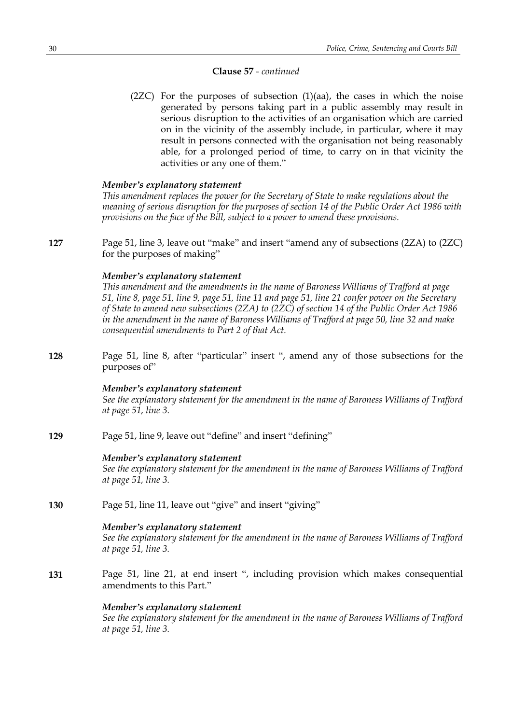#### **Clause 57** *- continued*

 $(2ZC)$  For the purposes of subsection  $(1)(aa)$ , the cases in which the noise generated by persons taking part in a public assembly may result in serious disruption to the activities of an organisation which are carried on in the vicinity of the assembly include, in particular, where it may result in persons connected with the organisation not being reasonably able, for a prolonged period of time, to carry on in that vicinity the activities or any one of them."

#### *Member's explanatory statement*

*This amendment replaces the power for the Secretary of State to make regulations about the meaning of serious disruption for the purposes of section 14 of the Public Order Act 1986 with provisions on the face of the Bill, subject to a power to amend these provisions.*

**127** Page 51, line 3, leave out "make" and insert "amend any of subsections (2ZA) to (2ZC) for the purposes of making"

#### *Member's explanatory statement*

*This amendment and the amendments in the name of Baroness Williams of Trafford at page* 51, line 8, page 51, line 9, page 51, line 11 and page 51, line 21 confer power on the Secretary *of State to amend new subsections (2ZA) to (2ZC) of section 14 of the Public Order Act 1986 in the amendment in the name of Baroness Williams of Trafford at page 50, line 32 and make consequential amendments to Part 2 of that Act.*

**128** Page 51, line 8, after "particular" insert ", amend any of those subsections for the purposes of"

#### *Member's explanatory statement*

*See the explanatory statement for the amendment in the name of Baroness Williams of Trafford at page 51, line 3.*

**129** Page 51, line 9, leave out "define" and insert "defining"

#### *Member's explanatory statement*

*See the explanatory statement for the amendment in the name of Baroness Williams of Trafford at page 51, line 3.*

**130** Page 51, line 11, leave out "give" and insert "giving"

#### *Member's explanatory statement*

*See the explanatory statement for the amendment in the name of Baroness Williams of Trafford at page 51, line 3.*

**131** Page 51, line 21, at end insert ", including provision which makes consequential amendments to this Part."

#### *Member's explanatory statement*

*See the explanatory statement for the amendment in the name of Baroness Williams of Trafford at page 51, line 3.*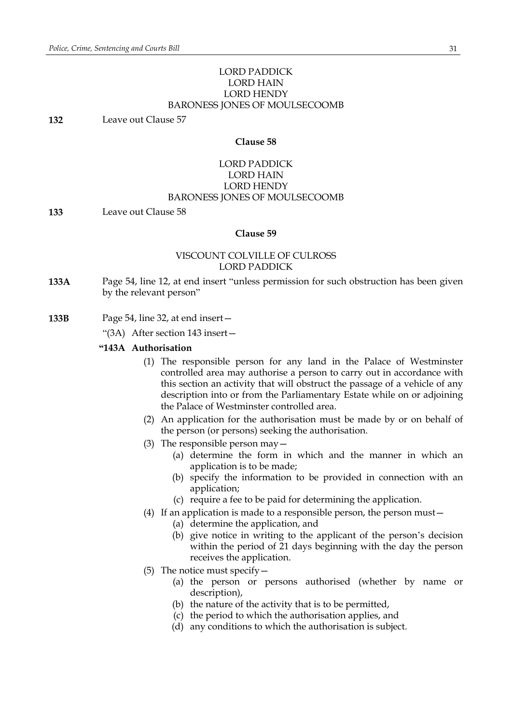### LORD PADDICK LORD HAIN LORD HENDY BARONESS JONES OF MOULSECOOMB

**132** Leave out Clause 57

### **Clause 58**

### LORD PADDICK LORD HAIN LORD HENDY BARONESS JONES OF MOULSECOOMB

**133** Leave out Clause 58

#### **Clause 59**

### VISCOUNT COLVILLE OF CULROSS LORD PADDICK

**133A** Page 54, line 12, at end insert "unless permission for such obstruction has been given by the relevant person"

**133B** Page 54, line 32, at end insert—

"(3A) After section 143 insert—

#### **"143A Authorisation**

- (1) The responsible person for any land in the Palace of Westminster controlled area may authorise a person to carry out in accordance with this section an activity that will obstruct the passage of a vehicle of any description into or from the Parliamentary Estate while on or adjoining the Palace of Westminster controlled area.
- (2) An application for the authorisation must be made by or on behalf of the person (or persons) seeking the authorisation.
- (3) The responsible person may—
	- (a) determine the form in which and the manner in which an application is to be made;
	- (b) specify the information to be provided in connection with an application;
	- (c) require a fee to be paid for determining the application.
- (4) If an application is made to a responsible person, the person must—
	- (a) determine the application, and
	- (b) give notice in writing to the applicant of the person's decision within the period of 21 days beginning with the day the person receives the application.
- (5) The notice must specify—
	- (a) the person or persons authorised (whether by name or description),
	- (b) the nature of the activity that is to be permitted,
	- (c) the period to which the authorisation applies, and
	- (d) any conditions to which the authorisation is subject.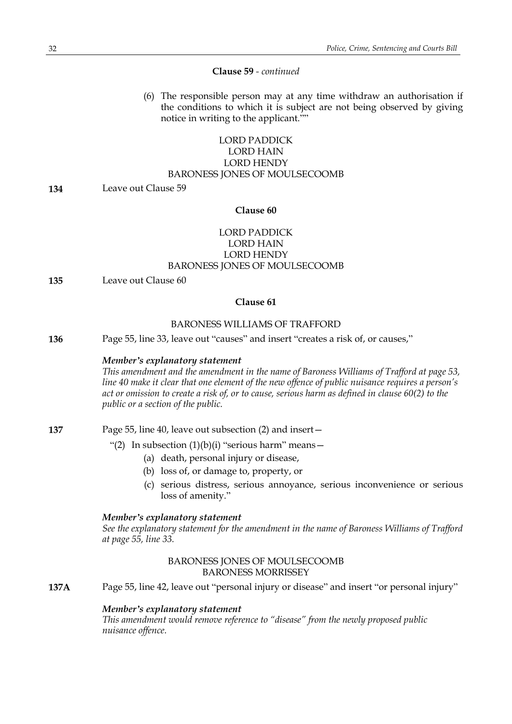#### **Clause 59** *- continued*

(6) The responsible person may at any time withdraw an authorisation if the conditions to which it is subject are not being observed by giving notice in writing to the applicant.""

### LORD PADDICK LORD HAIN LORD HENDY BARONESS JONES OF MOULSECOOMB

**134** Leave out Clause 59

#### **Clause 60**

### LORD PADDICK LORD HAIN LORD HENDY BARONESS JONES OF MOULSECOOMB

**135** Leave out Clause 60

#### **Clause 61**

### BARONESS WILLIAMS OF TRAFFORD

**136** Page 55, line 33, leave out "causes" and insert "creates a risk of, or causes,"

#### *Member's explanatory statement*

*This amendment and the amendment in the name of Baroness Williams of Trafford at page 53, line 40 make it clear that one element of the new offence of public nuisance requires a person's* act or omission to create a risk of, or to cause, serious harm as defined in clause 60(2) to the *public or a section of the public.*

**137** Page 55, line 40, leave out subsection (2) and insert—

- "(2) In subsection  $(1)(b)(i)$  "serious harm" means -
	- (a) death, personal injury or disease,
	- (b) loss of, or damage to, property, or
	- (c) serious distress, serious annoyance, serious inconvenience or serious loss of amenity."

#### *Member's explanatory statement*

*See the explanatory statement for the amendment in the name of Baroness Williams of Trafford at page 55, line 33.*

#### BARONESS JONES OF MOULSECOOMB BARONESS MORRISSEY

**137A** Page 55, line 42, leave out "personal injury or disease" and insert "or personal injury"

#### *Member's explanatory statement*

*This amendment would remove reference to "disease" from the newly proposed public nuisance offence.*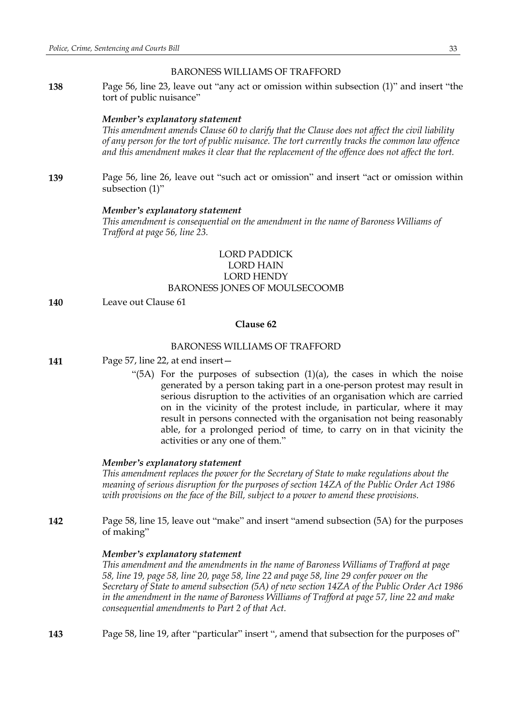#### BARONESS WILLIAMS OF TRAFFORD

**138** Page 56, line 23, leave out "any act or omission within subsection (1)" and insert "the tort of public nuisance"

#### *Member's explanatory statement*

*This amendment amends Clause 60 to clarify that the Clause does not affect the civil liability of any person for the tort of public nuisance. The tort currently tracks the common law offence and this amendment makes it clear that the replacement of the offence does not affect the tort.*

**139** Page 56, line 26, leave out "such act or omission" and insert "act or omission within subsection (1)"

### *Member's explanatory statement*

*This amendment is consequential on the amendment in the name of Baroness Williams of Trafford at page 56, line 23.*

### LORD PADDICK LORD HAIN LORD HENDY BARONESS JONES OF MOULSECOOMB

**140** Leave out Clause 61

### **Clause 62**

### BARONESS WILLIAMS OF TRAFFORD

**141** Page 57, line 22, at end insert—

"(5A) For the purposes of subsection  $(1)(a)$ , the cases in which the noise generated by a person taking part in a one-person protest may result in serious disruption to the activities of an organisation which are carried on in the vicinity of the protest include, in particular, where it may result in persons connected with the organisation not being reasonably able, for a prolonged period of time, to carry on in that vicinity the activities or any one of them."

#### *Member's explanatory statement*

*This amendment replaces the power for the Secretary of State to make regulations about the meaning of serious disruption for the purposes of section 14ZA of the Public Order Act 1986 with provisions on the face of the Bill, subject to a power to amend these provisions.*

**142** Page 58, line 15, leave out "make" and insert "amend subsection (5A) for the purposes of making"

#### *Member's explanatory statement*

*This amendment and the amendments in the name of Baroness Williams of Trafford at page* 58, line 19, page 58, line 20, page 58, line 22 and page 58, line 29 confer power on the *Secretary of State to amend subsection (5A) of new section 14ZA of the Public Order Act 1986 in the amendment in the name of Baroness Williams of Trafford at page 57, line 22 and make consequential amendments to Part 2 of that Act.*

**143** Page 58, line 19, after "particular" insert ", amend that subsection for the purposes of"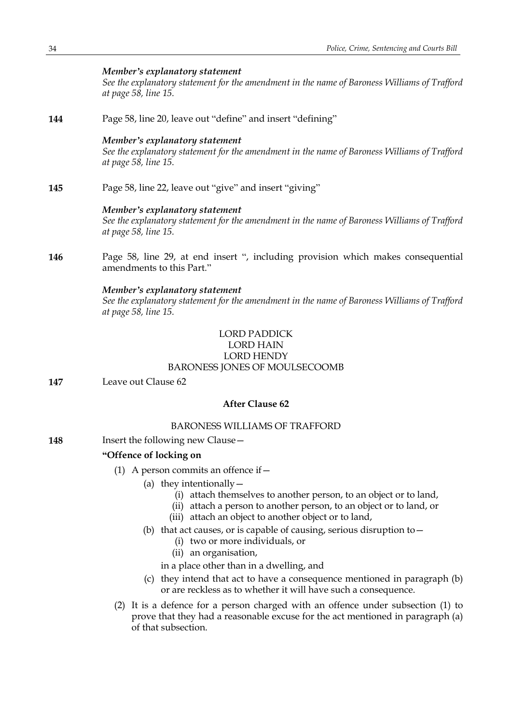### *Member's explanatory statement*

*See the explanatory statement for the amendment in the name of Baroness Williams of Trafford at page 58, line 15.*

**144** Page 58, line 20, leave out "define" and insert "defining"

#### *Member's explanatory statement*

*See the explanatory statement for the amendment in the name of Baroness Williams of Trafford at page 58, line 15.*

**145** Page 58, line 22, leave out "give" and insert "giving"

#### *Member's explanatory statement*

*See the explanatory statement for the amendment in the name of Baroness Williams of Trafford at page 58, line 15.*

**146** Page 58, line 29, at end insert ", including provision which makes consequential amendments to this Part."

#### *Member's explanatory statement*

*See the explanatory statement for the amendment in the name of Baroness Williams of Trafford at page 58, line 15.*

## LORD PADDICK

#### LORD HAIN LORD HENDY

### BARONESS JONES OF MOULSECOOMB

**147** Leave out Clause 62

### **After Clause 62**

### BARONESS WILLIAMS OF TRAFFORD

**148** Insert the following new Clause -

### **"Offence of locking on**

- (1) A person commits an offence if  $-$ 
	- (a) they intentionally  $-$ 
		- (i) attach themselves to another person, to an object or to land,
		- (ii) attach a person to another person, to an object or to land, or
		- (iii) attach an object to another object or to land,
	- (b) that act causes, or is capable of causing, serious disruption to  $-$ 
		- (i) two or more individuals, or
		- (ii) an organisation,

in a place other than in a dwelling, and

- (c) they intend that act to have a consequence mentioned in paragraph (b) or are reckless as to whether it will have such a consequence.
- (2) It is a defence for a person charged with an offence under subsection (1) to prove that they had a reasonable excuse for the act mentioned in paragraph (a) of that subsection.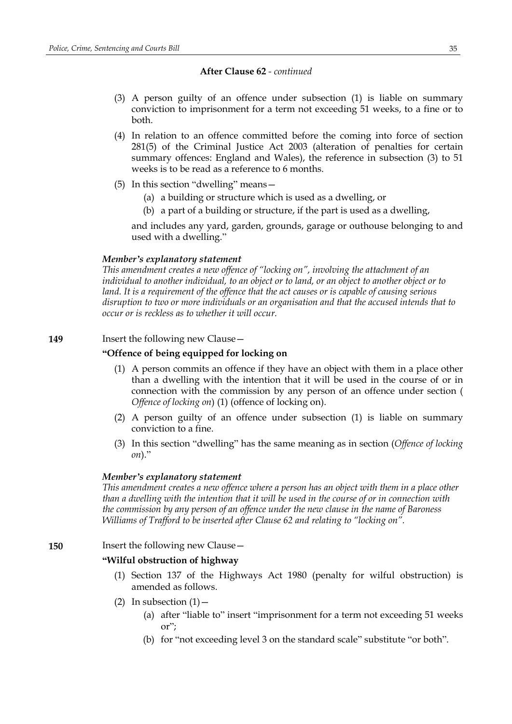- (3) A person guilty of an offence under subsection (1) is liable on summary conviction to imprisonment for a term not exceeding 51 weeks, to a fine or to both.
- (4) In relation to an offence committed before the coming into force of section 281(5) of the Criminal Justice Act 2003 (alteration of penalties for certain summary offences: England and Wales), the reference in subsection (3) to 51 weeks is to be read as a reference to 6 months.
- (5) In this section "dwelling" means—
	- (a) a building or structure which is used as a dwelling, or
	- (b) a part of a building or structure, if the part is used as a dwelling,

and includes any yard, garden, grounds, garage or outhouse belonging to and used with a dwelling."

#### *Member's explanatory statement*

*This amendment creates a new offence of "locking on", involving the attachment of an individual to another individual, to an object or to land, or an object to another object or to land. It is a requirement of the offence that the act causes or is capable of causing serious disruption to two or more individuals or an organisation and that the accused intends that to occur or is reckless as to whether it will occur.*

### **149** Insert the following new Clause -

### **"Offence of being equipped for locking on**

- (1) A person commits an offence if they have an object with them in a place other than a dwelling with the intention that it will be used in the course of or in connection with the commission by any person of an offence under section ( *Offence of locking on*) (1) (offence of locking on).
- (2) A person guilty of an offence under subsection (1) is liable on summary conviction to a fine.
- (3) In this section "dwelling" has the same meaning as in section (*Offence of locking on*)."

#### *Member's explanatory statement*

*This amendment creates a new offence where a person has an object with them in a place other* than a dwelling with the intention that it will be used in the course of or in connection with *the commission by any person of an offence under the new clause in the name of Baroness Williams of Trafford to be inserted after Clause 62 and relating to "locking on".*

### **150** Insert the following new Clause—

### **"Wilful obstruction of highway**

- (1) Section 137 of the Highways Act 1980 (penalty for wilful obstruction) is amended as follows.
- (2) In subsection  $(1)$ 
	- (a) after "liable to" insert "imprisonment for a term not exceeding 51 weeks or";
	- (b) for "not exceeding level 3 on the standard scale" substitute "or both".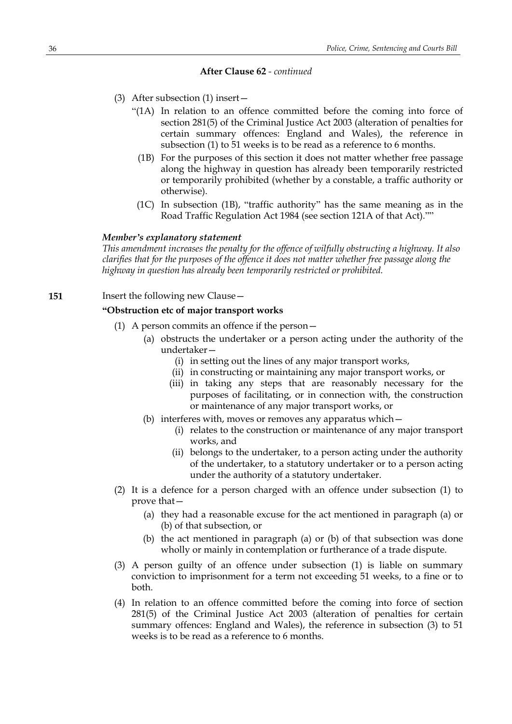- (3) After subsection (1) insert—
	- "(1A) In relation to an offence committed before the coming into force of section 281(5) of the Criminal Justice Act 2003 (alteration of penalties for certain summary offences: England and Wales), the reference in subsection (1) to 51 weeks is to be read as a reference to 6 months.
		- (1B) For the purposes of this section it does not matter whether free passage along the highway in question has already been temporarily restricted or temporarily prohibited (whether by a constable, a traffic authority or otherwise).
		- (1C) In subsection (1B), "traffic authority" has the same meaning as in the Road Traffic Regulation Act 1984 (see section 121A of that Act).""

#### *Member's explanatory statement*

*This amendment increases the penalty for the offence of wilfully obstructing a highway. It also clarifies that for the purposes of the offence it does not matter whether free passage along the highway in question has already been temporarily restricted or prohibited.*

**151** Insert the following new Clause -

#### **"Obstruction etc of major transport works**

- (1) A person commits an offence if the person—
	- (a) obstructs the undertaker or a person acting under the authority of the undertaker—
		- (i) in setting out the lines of any major transport works,
		- (ii) in constructing or maintaining any major transport works, or
		- (iii) in taking any steps that are reasonably necessary for the purposes of facilitating, or in connection with, the construction or maintenance of any major transport works, or
	- (b) interferes with, moves or removes any apparatus which—
		- (i) relates to the construction or maintenance of any major transport works, and
		- (ii) belongs to the undertaker, to a person acting under the authority of the undertaker, to a statutory undertaker or to a person acting under the authority of a statutory undertaker.
- (2) It is a defence for a person charged with an offence under subsection (1) to prove that—
	- (a) they had a reasonable excuse for the act mentioned in paragraph (a) or (b) of that subsection, or
	- (b) the act mentioned in paragraph (a) or (b) of that subsection was done wholly or mainly in contemplation or furtherance of a trade dispute.
- (3) A person guilty of an offence under subsection (1) is liable on summary conviction to imprisonment for a term not exceeding 51 weeks, to a fine or to both.
- (4) In relation to an offence committed before the coming into force of section 281(5) of the Criminal Justice Act 2003 (alteration of penalties for certain summary offences: England and Wales), the reference in subsection (3) to 51 weeks is to be read as a reference to 6 months.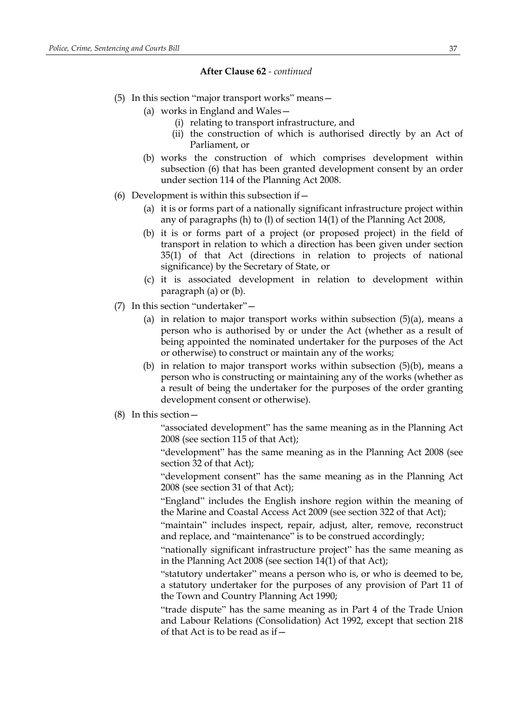- (5) In this section "major transport works" means—
	- (a) works in England and Wales—
		- (i) relating to transport infrastructure, and
		- (ii) the construction of which is authorised directly by an Act of Parliament, or
	- (b) works the construction of which comprises development within subsection (6) that has been granted development consent by an order under section 114 of the Planning Act 2008.
- (6) Development is within this subsection if  $-$ 
	- (a) it is or forms part of a nationally significant infrastructure project within any of paragraphs (h) to (l) of section 14(1) of the Planning Act 2008,
	- (b) it is or forms part of a project (or proposed project) in the field of transport in relation to which a direction has been given under section 35(1) of that Act (directions in relation to projects of national significance) by the Secretary of State, or
	- (c) it is associated development in relation to development within paragraph (a) or (b).
- (7) In this section "undertaker"—
	- (a) in relation to major transport works within subsection  $(5)(a)$ , means a person who is authorised by or under the Act (whether as a result of being appointed the nominated undertaker for the purposes of the Act or otherwise) to construct or maintain any of the works;
	- (b) in relation to major transport works within subsection (5)(b), means a person who is constructing or maintaining any of the works (whether as a result of being the undertaker for the purposes of the order granting development consent or otherwise).
- (8) In this section—

"associated development" has the same meaning as in the Planning Act 2008 (see section 115 of that Act);

"development" has the same meaning as in the Planning Act 2008 (see section 32 of that Act);

"development consent" has the same meaning as in the Planning Act 2008 (see section 31 of that Act);

"England" includes the English inshore region within the meaning of the Marine and Coastal Access Act 2009 (see section 322 of that Act);

"maintain" includes inspect, repair, adjust, alter, remove, reconstruct and replace, and "maintenance" is to be construed accordingly;

"nationally significant infrastructure project" has the same meaning as in the Planning Act 2008 (see section 14(1) of that Act);

"statutory undertaker" means a person who is, or who is deemed to be, a statutory undertaker for the purposes of any provision of Part 11 of the Town and Country Planning Act 1990;

"trade dispute" has the same meaning as in Part 4 of the Trade Union and Labour Relations (Consolidation) Act 1992, except that section 218 of that Act is to be read as if—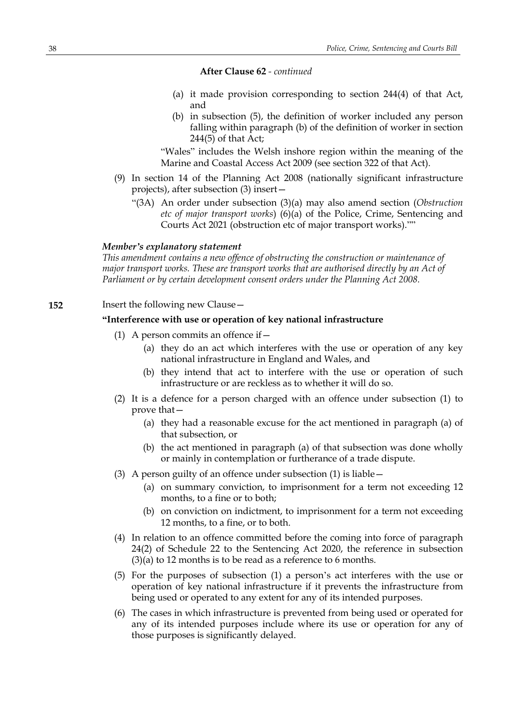- (a) it made provision corresponding to section 244(4) of that Act, and
- (b) in subsection (5), the definition of worker included any person falling within paragraph (b) of the definition of worker in section  $244(5)$  of that Act;

"Wales" includes the Welsh inshore region within the meaning of the Marine and Coastal Access Act 2009 (see section 322 of that Act).

- (9) In section 14 of the Planning Act 2008 (nationally significant infrastructure projects), after subsection (3) insert—
	- "(3A) An order under subsection (3)(a) may also amend section (*Obstruction etc of major transport works*) (6)(a) of the Police, Crime, Sentencing and Courts Act 2021 (obstruction etc of major transport works).""

#### *Member's explanatory statement*

*This amendment contains a new offence of obstructing the construction or maintenance of major transport works. These are transport works that are authorised directly by an Act of Parliament or by certain development consent orders under the Planning Act 2008.*

### **152** Insert the following new Clause -

### **"Interference with use or operation of key national infrastructure**

- (1) A person commits an offence if—
	- (a) they do an act which interferes with the use or operation of any key national infrastructure in England and Wales, and
	- (b) they intend that act to interfere with the use or operation of such infrastructure or are reckless as to whether it will do so.
- (2) It is a defence for a person charged with an offence under subsection (1) to prove that—
	- (a) they had a reasonable excuse for the act mentioned in paragraph (a) of that subsection, or
	- (b) the act mentioned in paragraph (a) of that subsection was done wholly or mainly in contemplation or furtherance of a trade dispute.
- (3) A person guilty of an offence under subsection (1) is liable—
	- (a) on summary conviction, to imprisonment for a term not exceeding 12 months, to a fine or to both;
	- (b) on conviction on indictment, to imprisonment for a term not exceeding 12 months, to a fine, or to both.
- (4) In relation to an offence committed before the coming into force of paragraph 24(2) of Schedule 22 to the Sentencing Act 2020, the reference in subsection (3)(a) to 12 months is to be read as a reference to 6 months.
- (5) For the purposes of subsection (1) a person's act interferes with the use or operation of key national infrastructure if it prevents the infrastructure from being used or operated to any extent for any of its intended purposes.
- (6) The cases in which infrastructure is prevented from being used or operated for any of its intended purposes include where its use or operation for any of those purposes is significantly delayed.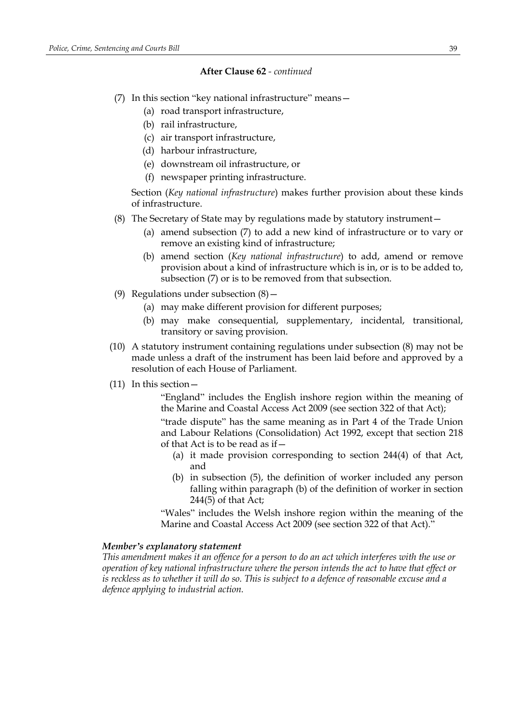- (7) In this section "key national infrastructure" means—
	- (a) road transport infrastructure,
	- (b) rail infrastructure,
	- (c) air transport infrastructure,
	- (d) harbour infrastructure,
	- (e) downstream oil infrastructure, or
	- (f) newspaper printing infrastructure.

Section (*Key national infrastructure*) makes further provision about these kinds of infrastructure.

- (8) The Secretary of State may by regulations made by statutory instrument—
	- (a) amend subsection (7) to add a new kind of infrastructure or to vary or remove an existing kind of infrastructure;
	- (b) amend section (*Key national infrastructure*) to add, amend or remove provision about a kind of infrastructure which is in, or is to be added to, subsection (7) or is to be removed from that subsection.
- (9) Regulations under subsection  $(8)$ 
	- (a) may make different provision for different purposes;
	- (b) may make consequential, supplementary, incidental, transitional, transitory or saving provision.
- (10) A statutory instrument containing regulations under subsection (8) may not be made unless a draft of the instrument has been laid before and approved by a resolution of each House of Parliament.
- (11) In this section—

"England" includes the English inshore region within the meaning of the Marine and Coastal Access Act 2009 (see section 322 of that Act);

"trade dispute" has the same meaning as in Part 4 of the Trade Union and Labour Relations (Consolidation) Act 1992, except that section 218 of that Act is to be read as if—

- (a) it made provision corresponding to section 244(4) of that Act, and
- (b) in subsection (5), the definition of worker included any person falling within paragraph (b) of the definition of worker in section 244(5) of that Act;

"Wales" includes the Welsh inshore region within the meaning of the Marine and Coastal Access Act 2009 (see section 322 of that Act)."

#### *Member's explanatory statement*

This amendment makes it an offence for a person to do an act which interferes with the use or *operation of key national infrastructure where the person intends the act to have that effect or* is reckless as to whether it will do so. This is subject to a defence of reasonable excuse and a *defence applying to industrial action.*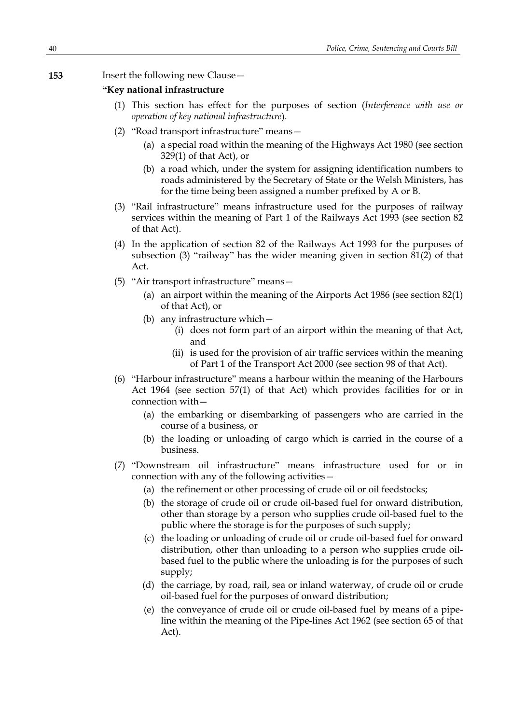### **153** Insert the following new Clause—

#### **"Key national infrastructure**

- (1) This section has effect for the purposes of section (*Interference with use or operation of key national infrastructure*).
- (2) "Road transport infrastructure" means—
	- (a) a special road within the meaning of the Highways Act 1980 (see section 329(1) of that Act), or
	- (b) a road which, under the system for assigning identification numbers to roads administered by the Secretary of State or the Welsh Ministers, has for the time being been assigned a number prefixed by A or B.
- (3) "Rail infrastructure" means infrastructure used for the purposes of railway services within the meaning of Part 1 of the Railways Act 1993 (see section 82 of that Act).
- (4) In the application of section 82 of the Railways Act 1993 for the purposes of subsection (3) "railway" has the wider meaning given in section  $\frac{81}{2}$  of that Act.
- (5) "Air transport infrastructure" means—
	- (a) an airport within the meaning of the Airports Act 1986 (see section 82(1) of that Act), or
	- (b) any infrastructure which—
		- (i) does not form part of an airport within the meaning of that Act, and
		- (ii) is used for the provision of air traffic services within the meaning of Part 1 of the Transport Act 2000 (see section 98 of that Act).
- (6) "Harbour infrastructure" means a harbour within the meaning of the Harbours Act 1964 (see section 57(1) of that Act) which provides facilities for or in connection with—
	- (a) the embarking or disembarking of passengers who are carried in the course of a business, or
	- (b) the loading or unloading of cargo which is carried in the course of a business.
- (7) "Downstream oil infrastructure" means infrastructure used for or in connection with any of the following activities—
	- (a) the refinement or other processing of crude oil or oil feedstocks;
	- (b) the storage of crude oil or crude oil-based fuel for onward distribution, other than storage by a person who supplies crude oil-based fuel to the public where the storage is for the purposes of such supply;
	- (c) the loading or unloading of crude oil or crude oil-based fuel for onward distribution, other than unloading to a person who supplies crude oilbased fuel to the public where the unloading is for the purposes of such supply;
	- (d) the carriage, by road, rail, sea or inland waterway, of crude oil or crude oil-based fuel for the purposes of onward distribution;
	- (e) the conveyance of crude oil or crude oil-based fuel by means of a pipeline within the meaning of the Pipe-lines Act 1962 (see section 65 of that Act).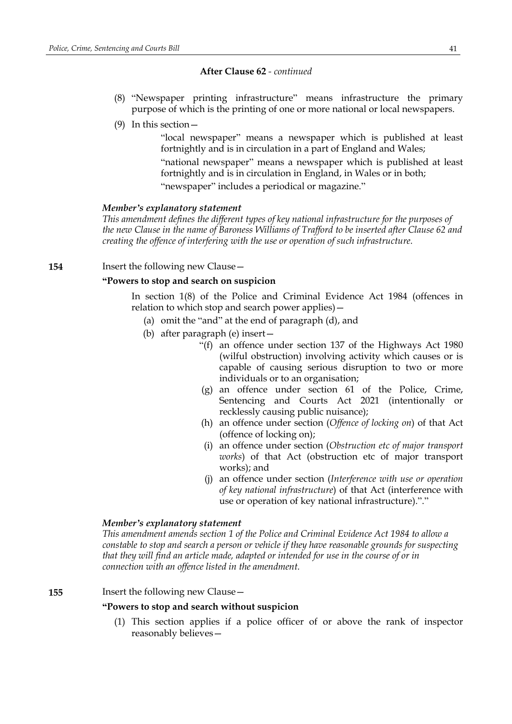- (8) "Newspaper printing infrastructure" means infrastructure the primary purpose of which is the printing of one or more national or local newspapers.
- (9) In this section—

"local newspaper" means a newspaper which is published at least fortnightly and is in circulation in a part of England and Wales; "national newspaper" means a newspaper which is published at least fortnightly and is in circulation in England, in Wales or in both; "newspaper" includes a periodical or magazine."

#### *Member's explanatory statement*

*This amendment defines the different types of key national infrastructure for the purposes of the new Clause in the name of Baroness Williams of Trafford to be inserted after Clause 62 and creating the offence of interfering with the use or operation of such infrastructure.*

#### **154** Insert the following new Clause -

#### **"Powers to stop and search on suspicion**

In section 1(8) of the Police and Criminal Evidence Act 1984 (offences in relation to which stop and search power applies)—

- (a) omit the "and" at the end of paragraph (d), and
- (b) after paragraph (e) insert—
	- "(f) an offence under section 137 of the Highways Act 1980 (wilful obstruction) involving activity which causes or is capable of causing serious disruption to two or more individuals or to an organisation;
	- (g) an offence under section 61 of the Police, Crime, Sentencing and Courts Act 2021 (intentionally or recklessly causing public nuisance);
	- (h) an offence under section (*Offence of locking on*) of that Act (offence of locking on);
	- (i) an offence under section (*Obstruction etc of major transport works*) of that Act (obstruction etc of major transport works); and
	- (j) an offence under section (*Interference with use or operation of key national infrastructure*) of that Act (interference with use or operation of key national infrastructure)."."

### *Member's explanatory statement*

*This amendment amends section 1 of the Police and Criminal Evidence Act 1984 to allow a constable to stop and search a person or vehicle if they have reasonable grounds for suspecting that they will find an article made, adapted or intended for use in the course of or in connection with an offence listed in the amendment.*

**155** Insert the following new Clause—

### **"Powers to stop and search without suspicion**

(1) This section applies if a police officer of or above the rank of inspector reasonably believes—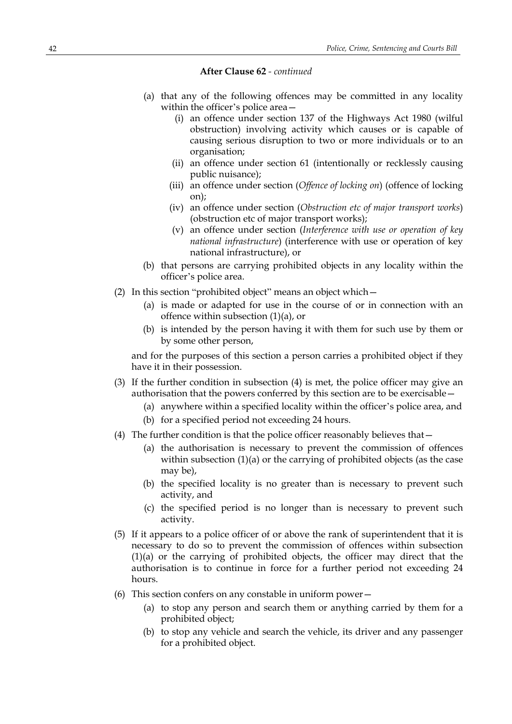- (a) that any of the following offences may be committed in any locality within the officer's police area—
	- (i) an offence under section 137 of the Highways Act 1980 (wilful obstruction) involving activity which causes or is capable of causing serious disruption to two or more individuals or to an organisation;
	- (ii) an offence under section 61 (intentionally or recklessly causing public nuisance);
	- (iii) an offence under section (*Offence of locking on*) (offence of locking on);
	- (iv) an offence under section (*Obstruction etc of major transport works*) (obstruction etc of major transport works);
	- (v) an offence under section (*Interference with use or operation of key national infrastructure*) (interference with use or operation of key national infrastructure), or
- (b) that persons are carrying prohibited objects in any locality within the officer's police area.
- (2) In this section "prohibited object" means an object which—
	- (a) is made or adapted for use in the course of or in connection with an offence within subsection (1)(a), or
	- (b) is intended by the person having it with them for such use by them or by some other person,

and for the purposes of this section a person carries a prohibited object if they have it in their possession.

- (3) If the further condition in subsection (4) is met, the police officer may give an authorisation that the powers conferred by this section are to be exercisable—
	- (a) anywhere within a specified locality within the officer's police area, and
	- (b) for a specified period not exceeding 24 hours.
- (4) The further condition is that the police officer reasonably believes that—
	- (a) the authorisation is necessary to prevent the commission of offences within subsection (1)(a) or the carrying of prohibited objects (as the case may be),
	- (b) the specified locality is no greater than is necessary to prevent such activity, and
	- (c) the specified period is no longer than is necessary to prevent such activity.
- (5) If it appears to a police officer of or above the rank of superintendent that it is necessary to do so to prevent the commission of offences within subsection (1)(a) or the carrying of prohibited objects, the officer may direct that the authorisation is to continue in force for a further period not exceeding 24 hours.
- (6) This section confers on any constable in uniform power—
	- (a) to stop any person and search them or anything carried by them for a prohibited object;
	- (b) to stop any vehicle and search the vehicle, its driver and any passenger for a prohibited object.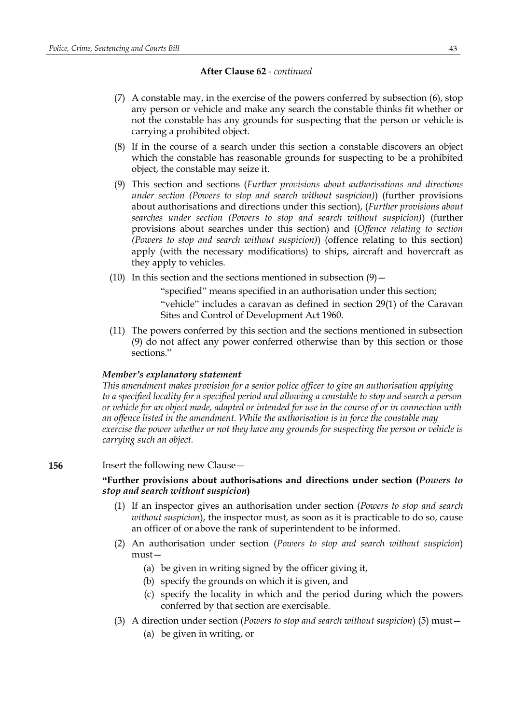- (7) A constable may, in the exercise of the powers conferred by subsection (6), stop any person or vehicle and make any search the constable thinks fit whether or not the constable has any grounds for suspecting that the person or vehicle is carrying a prohibited object.
- (8) If in the course of a search under this section a constable discovers an object which the constable has reasonable grounds for suspecting to be a prohibited object, the constable may seize it.
- (9) This section and sections (*Further provisions about authorisations and directions under section (Powers to stop and search without suspicion)*) (further provisions about authorisations and directions under this section), (*Further provisions about searches under section (Powers to stop and search without suspicion)*) (further provisions about searches under this section) and (*Offence relating to section (Powers to stop and search without suspicion)*) (offence relating to this section) apply (with the necessary modifications) to ships, aircraft and hovercraft as they apply to vehicles.
- (10) In this section and the sections mentioned in subsection  $(9)$  –

"specified" means specified in an authorisation under this section; "vehicle" includes a caravan as defined in section 29(1) of the Caravan Sites and Control of Development Act 1960.

(11) The powers conferred by this section and the sections mentioned in subsection (9) do not affect any power conferred otherwise than by this section or those sections."

#### *Member's explanatory statement*

*This amendment makes provision for a senior police officer to give an authorisation applying* to a specified locality for a specified period and allowing a constable to stop and search a person or vehicle for an object made, adapted or intended for use in the course of or in connection with *an offence listed in the amendment. While the authorisation is in force the constable may exercise the power whether or not they have any grounds for suspecting the person or vehicle is carrying such an object.*

#### **156** Insert the following new Clause -

### **"Further provisions about authorisations and directions under section (***Powers to stop and search without suspicion***)**

- (1) If an inspector gives an authorisation under section (*Powers to stop and search without suspicion*), the inspector must, as soon as it is practicable to do so, cause an officer of or above the rank of superintendent to be informed.
- (2) An authorisation under section (*Powers to stop and search without suspicion*) must—
	- (a) be given in writing signed by the officer giving it,
	- (b) specify the grounds on which it is given, and
	- (c) specify the locality in which and the period during which the powers conferred by that section are exercisable.
- (3) A direction under section (*Powers to stop and search without suspicion*) (5) must—
	- (a) be given in writing, or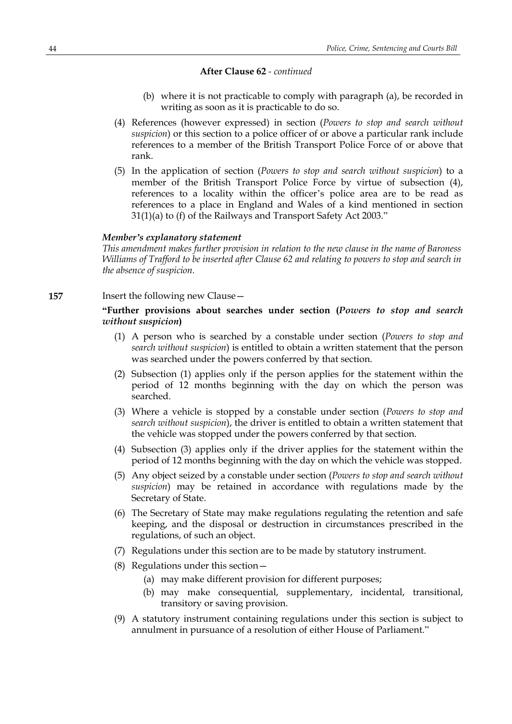- (b) where it is not practicable to comply with paragraph (a), be recorded in writing as soon as it is practicable to do so.
- (4) References (however expressed) in section (*Powers to stop and search without suspicion*) or this section to a police officer of or above a particular rank include references to a member of the British Transport Police Force of or above that rank.
- (5) In the application of section (*Powers to stop and search without suspicion*) to a member of the British Transport Police Force by virtue of subsection (4), references to a locality within the officer's police area are to be read as references to a place in England and Wales of a kind mentioned in section 31(1)(a) to (f) of the Railways and Transport Safety Act 2003."

#### *Member's explanatory statement*

*This amendment makes further provision in relation to the new clause in the name of Baroness Williams of Trafford to be inserted after Clause 62 and relating to powers to stop and search in the absence of suspicion.*

**157** Insert the following new Clause -

### **"Further provisions about searches under section (***Powers to stop and search without suspicion***)**

- (1) A person who is searched by a constable under section (*Powers to stop and search without suspicion*) is entitled to obtain a written statement that the person was searched under the powers conferred by that section.
- (2) Subsection (1) applies only if the person applies for the statement within the period of 12 months beginning with the day on which the person was searched.
- (3) Where a vehicle is stopped by a constable under section (*Powers to stop and search without suspicion*), the driver is entitled to obtain a written statement that the vehicle was stopped under the powers conferred by that section.
- (4) Subsection (3) applies only if the driver applies for the statement within the period of 12 months beginning with the day on which the vehicle was stopped.
- (5) Any object seized by a constable under section (*Powers to stop and search without suspicion*) may be retained in accordance with regulations made by the Secretary of State.
- (6) The Secretary of State may make regulations regulating the retention and safe keeping, and the disposal or destruction in circumstances prescribed in the regulations, of such an object.
- (7) Regulations under this section are to be made by statutory instrument.
- (8) Regulations under this section—
	- (a) may make different provision for different purposes;
	- (b) may make consequential, supplementary, incidental, transitional, transitory or saving provision.
- (9) A statutory instrument containing regulations under this section is subject to annulment in pursuance of a resolution of either House of Parliament."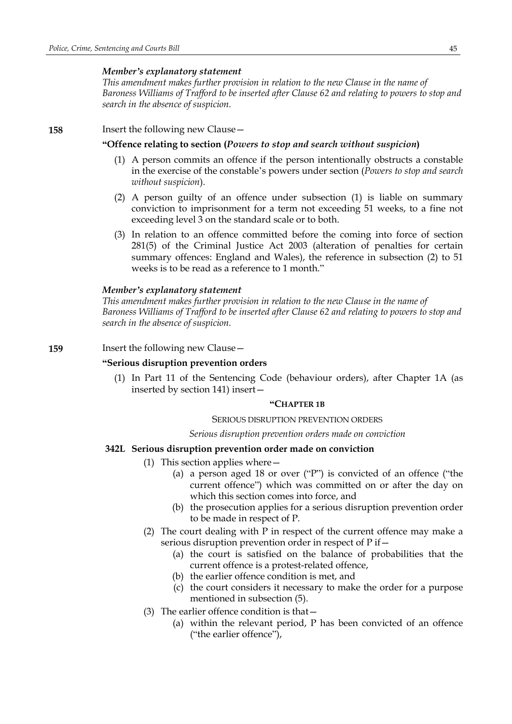#### *Member's explanatory statement*

*This amendment makes further provision in relation to the new Clause in the name of Baroness Williams of Trafford to be inserted after Clause 62 and relating to powers to stop and search in the absence of suspicion.*

### **158** Insert the following new Clause—

### **"Offence relating to section (***Powers to stop and search without suspicion***)**

- (1) A person commits an offence if the person intentionally obstructs a constable in the exercise of the constable's powers under section (*Powers to stop and search without suspicion*).
- (2) A person guilty of an offence under subsection (1) is liable on summary conviction to imprisonment for a term not exceeding 51 weeks, to a fine not exceeding level 3 on the standard scale or to both.
- (3) In relation to an offence committed before the coming into force of section 281(5) of the Criminal Justice Act 2003 (alteration of penalties for certain summary offences: England and Wales), the reference in subsection (2) to 51 weeks is to be read as a reference to 1 month."

#### *Member's explanatory statement*

*This amendment makes further provision in relation to the new Clause in the name of Baroness Williams of Trafford to be inserted after Clause 62 and relating to powers to stop and search in the absence of suspicion.*

#### **159** Insert the following new Clause -

### **"Serious disruption prevention orders**

(1) In Part 11 of the Sentencing Code (behaviour orders), after Chapter 1A (as inserted by section 141) insert—

#### **"CHAPTER 1B**

#### SERIOUS DISRUPTION PREVENTION ORDERS

#### *Serious disruption prevention orders made on conviction*

### **342L Serious disruption prevention order made on conviction**

- (1) This section applies where—
	- (a) a person aged 18 or over ("P") is convicted of an offence ("the current offence") which was committed on or after the day on which this section comes into force, and
	- (b) the prosecution applies for a serious disruption prevention order to be made in respect of P.
- (2) The court dealing with P in respect of the current offence may make a serious disruption prevention order in respect of P if—
	- (a) the court is satisfied on the balance of probabilities that the current offence is a protest-related offence,
	- (b) the earlier offence condition is met, and
	- (c) the court considers it necessary to make the order for a purpose mentioned in subsection (5).
- (3) The earlier offence condition is that—
	- (a) within the relevant period, P has been convicted of an offence ("the earlier offence"),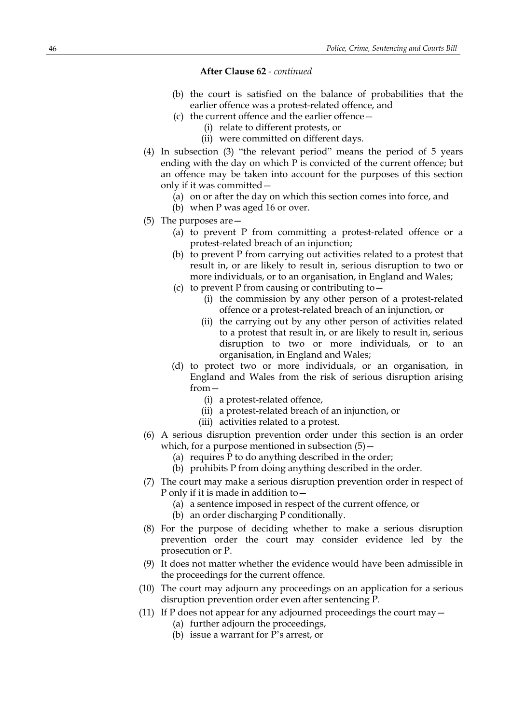- (b) the court is satisfied on the balance of probabilities that the earlier offence was a protest-related offence, and
- (c) the current offence and the earlier offence—
	- (i) relate to different protests, or
	- (ii) were committed on different days.
- (4) In subsection (3) "the relevant period" means the period of 5 years ending with the day on which P is convicted of the current offence; but an offence may be taken into account for the purposes of this section only if it was committed—
	- (a) on or after the day on which this section comes into force, and
	- (b) when P was aged 16 or over.
- (5) The purposes are—
	- (a) to prevent P from committing a protest-related offence or a protest-related breach of an injunction;
	- (b) to prevent P from carrying out activities related to a protest that result in, or are likely to result in, serious disruption to two or more individuals, or to an organisation, in England and Wales;
	- (c) to prevent P from causing or contributing to—
		- (i) the commission by any other person of a protest-related offence or a protest-related breach of an injunction, or
		- (ii) the carrying out by any other person of activities related to a protest that result in, or are likely to result in, serious disruption to two or more individuals, or to an organisation, in England and Wales;
	- (d) to protect two or more individuals, or an organisation, in England and Wales from the risk of serious disruption arising from—
		- (i) a protest-related offence,
		- (ii) a protest-related breach of an injunction, or
		- (iii) activities related to a protest.
- (6) A serious disruption prevention order under this section is an order which, for a purpose mentioned in subsection (5)—
	- (a) requires P to do anything described in the order;
	- (b) prohibits P from doing anything described in the order.
- (7) The court may make a serious disruption prevention order in respect of P only if it is made in addition to—
	- (a) a sentence imposed in respect of the current offence, or
	- (b) an order discharging P conditionally.
- (8) For the purpose of deciding whether to make a serious disruption prevention order the court may consider evidence led by the prosecution or P.
- (9) It does not matter whether the evidence would have been admissible in the proceedings for the current offence.
- (10) The court may adjourn any proceedings on an application for a serious disruption prevention order even after sentencing P.
- (11) If P does not appear for any adjourned proceedings the court may—
	- (a) further adjourn the proceedings,
	- (b) issue a warrant for P's arrest, or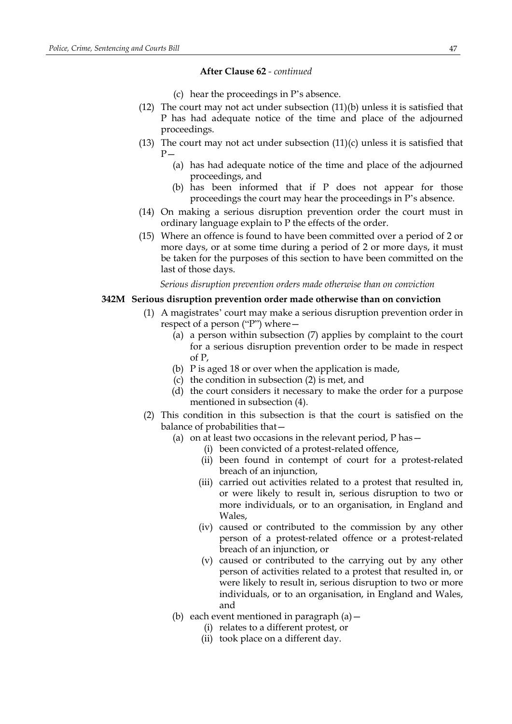- (c) hear the proceedings in P's absence.
- (12) The court may not act under subsection (11)(b) unless it is satisfied that P has had adequate notice of the time and place of the adjourned proceedings.
- (13) The court may not act under subsection  $(11)(c)$  unless it is satisfied that  $P -$ 
	- (a) has had adequate notice of the time and place of the adjourned proceedings, and
	- (b) has been informed that if P does not appear for those proceedings the court may hear the proceedings in P's absence.
- (14) On making a serious disruption prevention order the court must in ordinary language explain to P the effects of the order.
- (15) Where an offence is found to have been committed over a period of 2 or more days, or at some time during a period of 2 or more days, it must be taken for the purposes of this section to have been committed on the last of those days.

*Serious disruption prevention orders made otherwise than on conviction*

### **342M Serious disruption prevention order made otherwise than on conviction**

- (1) A magistrates' court may make a serious disruption prevention order in respect of a person ("P") where—
	- $\overline{a}$  (a) a person within subsection (7) applies by complaint to the court for a serious disruption prevention order to be made in respect of P,
	- (b) P is aged 18 or over when the application is made,
	- (c) the condition in subsection (2) is met, and
	- (d) the court considers it necessary to make the order for a purpose mentioned in subsection (4).
- (2) This condition in this subsection is that the court is satisfied on the balance of probabilities that—
	- (a) on at least two occasions in the relevant period,  $P$  has  $-$ 
		- (i) been convicted of a protest-related offence,
		- (ii) been found in contempt of court for a protest-related breach of an injunction,
		- (iii) carried out activities related to a protest that resulted in, or were likely to result in, serious disruption to two or more individuals, or to an organisation, in England and Wales,
		- (iv) caused or contributed to the commission by any other person of a protest-related offence or a protest-related breach of an injunction, or
		- (v) caused or contributed to the carrying out by any other person of activities related to a protest that resulted in, or were likely to result in, serious disruption to two or more individuals, or to an organisation, in England and Wales, and
	- (b) each event mentioned in paragraph  $(a)$  -
		- (i) relates to a different protest, or
		- (ii) took place on a different day.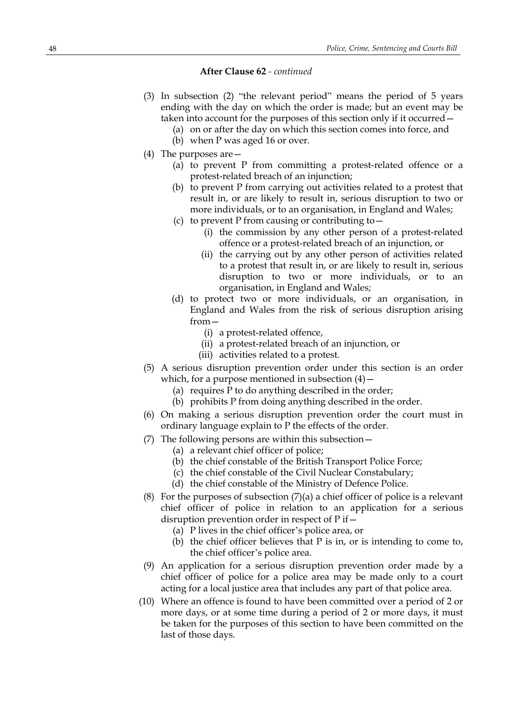- (3) In subsection (2) "the relevant period" means the period of 5 years ending with the day on which the order is made; but an event may be taken into account for the purposes of this section only if it occurred—
	- (a) on or after the day on which this section comes into force, and
	- (b) when P was aged 16 or over.
- (4) The purposes are—
	- (a) to prevent P from committing a protest-related offence or a protest-related breach of an injunction;
	- (b) to prevent P from carrying out activities related to a protest that result in, or are likely to result in, serious disruption to two or more individuals, or to an organisation, in England and Wales;
	- (c) to prevent P from causing or contributing to—
		- (i) the commission by any other person of a protest-related offence or a protest-related breach of an injunction, or
		- (ii) the carrying out by any other person of activities related to a protest that result in, or are likely to result in, serious disruption to two or more individuals, or to an organisation, in England and Wales;
	- (d) to protect two or more individuals, or an organisation, in England and Wales from the risk of serious disruption arising from—
		- (i) a protest-related offence,
		- (ii) a protest-related breach of an injunction, or
		- (iii) activities related to a protest.
- (5) A serious disruption prevention order under this section is an order which, for a purpose mentioned in subsection  $(4)$  –
	- (a) requires P to do anything described in the order;
	- (b) prohibits P from doing anything described in the order.
- (6) On making a serious disruption prevention order the court must in ordinary language explain to P the effects of the order.
- (7) The following persons are within this subsection—
	- (a) a relevant chief officer of police;
	- (b) the chief constable of the British Transport Police Force;
	- (c) the chief constable of the Civil Nuclear Constabulary;
	- (d) the chief constable of the Ministry of Defence Police.
- (8) For the purposes of subsection (7)(a) a chief officer of police is a relevant chief officer of police in relation to an application for a serious disruption prevention order in respect of  $P$  if  $-$ 
	- (a) P lives in the chief officer's police area, or
	- (b) the chief officer believes that P is in, or is intending to come to, the chief officer's police area.
- (9) An application for a serious disruption prevention order made by a chief officer of police for a police area may be made only to a court acting for a local justice area that includes any part of that police area.
- (10) Where an offence is found to have been committed over a period of 2 or more days, or at some time during a period of 2 or more days, it must be taken for the purposes of this section to have been committed on the last of those days.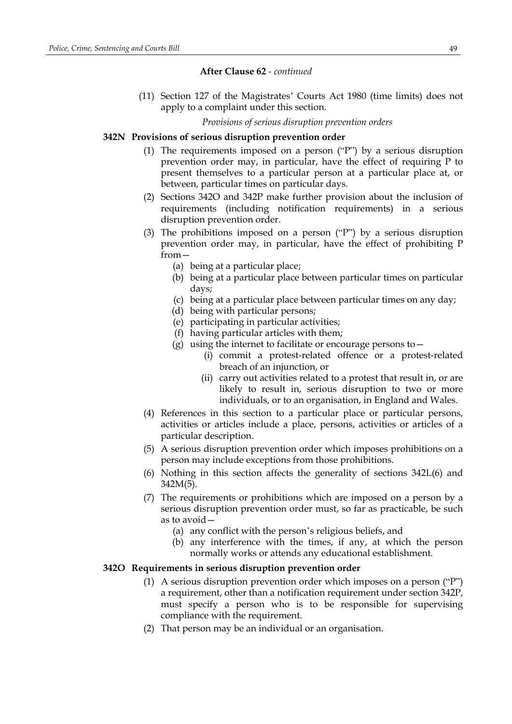(11) Section 127 of the Magistrates' Courts Act 1980 (time limits) does not apply to a complaint under this section.

*Provisions of serious disruption prevention orders*

#### **342N Provisions of serious disruption prevention order**

- (1) The requirements imposed on a person ("P") by a serious disruption prevention order may, in particular, have the effect of requiring P to present themselves to a particular person at a particular place at, or between, particular times on particular days.
- (2) Sections 342O and 342P make further provision about the inclusion of requirements (including notification requirements) in a serious disruption prevention order.
- (3) The prohibitions imposed on a person ("P") by a serious disruption prevention order may, in particular, have the effect of prohibiting P from—
	- (a) being at a particular place;
	- (b) being at a particular place between particular times on particular days;
	- (c) being at a particular place between particular times on any day;
	- (d) being with particular persons;
	- (e) participating in particular activities;
	- (f) having particular articles with them;
	- (g) using the internet to facilitate or encourage persons to  $-$ 
		- (i) commit a protest-related offence or a protest-related breach of an injunction, or
		- (ii) carry out activities related to a protest that result in, or are likely to result in, serious disruption to two or more individuals, or to an organisation, in England and Wales.
- (4) References in this section to a particular place or particular persons, activities or articles include a place, persons, activities or articles of a particular description.
- (5) A serious disruption prevention order which imposes prohibitions on a person may include exceptions from those prohibitions.
- (6) Nothing in this section affects the generality of sections 342L(6) and 342M(5).
- (7) The requirements or prohibitions which are imposed on a person by a serious disruption prevention order must, so far as practicable, be such as to avoid—
	- (a) any conflict with the person's religious beliefs, and
	- (b) any interference with the times, if any, at which the person normally works or attends any educational establishment.

#### **342O Requirements in serious disruption prevention order**

- (1) A serious disruption prevention order which imposes on a person ("P") a requirement, other than a notification requirement under section 342P, must specify a person who is to be responsible for supervising compliance with the requirement.
- (2) That person may be an individual or an organisation.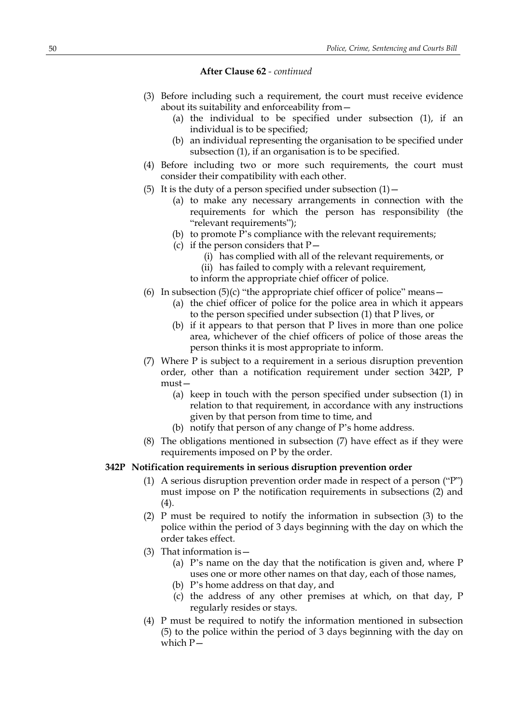- (3) Before including such a requirement, the court must receive evidence about its suitability and enforceability from—
	- (a) the individual to be specified under subsection (1), if an individual is to be specified;
	- (b) an individual representing the organisation to be specified under subsection (1), if an organisation is to be specified.
- (4) Before including two or more such requirements, the court must consider their compatibility with each other.
- (5) It is the duty of a person specified under subsection  $(1)$  -
	- (a) to make any necessary arrangements in connection with the requirements for which the person has responsibility (the "relevant requirements");
	- (b) to promote P's compliance with the relevant requirements;
	- (c) if the person considers that  $P-$ 
		- (i) has complied with all of the relevant requirements, or
		- (ii) has failed to comply with a relevant requirement,
		- to inform the appropriate chief officer of police.
- (6) In subsection  $(5)(c)$  "the appropriate chief officer of police" means  $-$ 
	- (a) the chief officer of police for the police area in which it appears to the person specified under subsection (1) that P lives, or
	- (b) if it appears to that person that P lives in more than one police area, whichever of the chief officers of police of those areas the person thinks it is most appropriate to inform.
- (7) Where P is subject to a requirement in a serious disruption prevention order, other than a notification requirement under section 342P, P must—
	- (a) keep in touch with the person specified under subsection (1) in relation to that requirement, in accordance with any instructions given by that person from time to time, and
	- (b) notify that person of any change of P's home address.
- (8) The obligations mentioned in subsection (7) have effect as if they were requirements imposed on P by the order.

### **342P Notification requirements in serious disruption prevention order**

- (1) A serious disruption prevention order made in respect of a person ("P") must impose on P the notification requirements in subsections (2) and (4).
- (2) P must be required to notify the information in subsection (3) to the police within the period of 3 days beginning with the day on which the order takes effect.
- (3) That information is  $-$ 
	- (a) P's name on the day that the notification is given and, where P uses one or more other names on that day, each of those names,
	- (b) P's home address on that day, and
	- (c) the address of any other premises at which, on that day, P regularly resides or stays.
- (4) P must be required to notify the information mentioned in subsection (5) to the police within the period of 3 days beginning with the day on which P—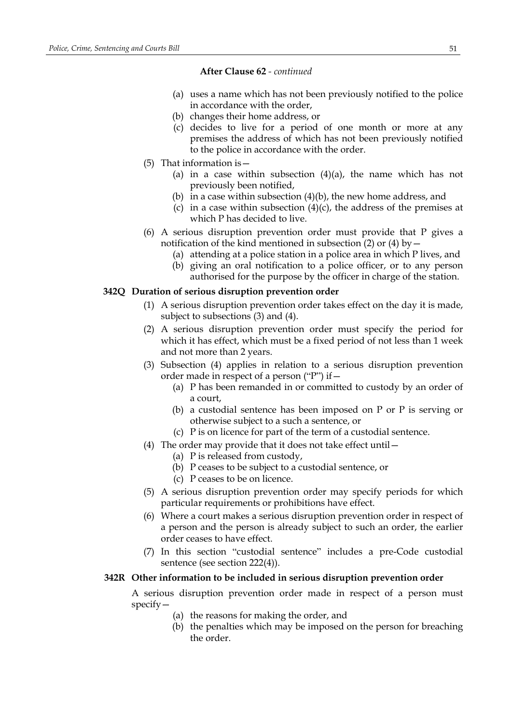- (a) uses a name which has not been previously notified to the police in accordance with the order,
- (b) changes their home address, or
- (c) decides to live for a period of one month or more at any premises the address of which has not been previously notified to the police in accordance with the order.
- (5) That information is—
	- (a) in a case within subsection  $(4)(a)$ , the name which has not previously been notified,
	- (b) in a case within subsection  $(4)(b)$ , the new home address, and
	- (c) in a case within subsection  $(4)(c)$ , the address of the premises at which P has decided to live.
- (6) A serious disruption prevention order must provide that P gives a notification of the kind mentioned in subsection (2) or (4) by  $-$ 
	- (a) attending at a police station in a police area in which P lives, and
	- (b) giving an oral notification to a police officer, or to any person
		- authorised for the purpose by the officer in charge of the station.

### **342Q Duration of serious disruption prevention order**

- (1) A serious disruption prevention order takes effect on the day it is made, subject to subsections (3) and (4).
- (2) A serious disruption prevention order must specify the period for which it has effect, which must be a fixed period of not less than 1 week and not more than 2 years.
- (3) Subsection (4) applies in relation to a serious disruption prevention order made in respect of a person ("P") if—
	- (a) P has been remanded in or committed to custody by an order of a court,
	- (b) a custodial sentence has been imposed on P or P is serving or otherwise subject to a such a sentence, or
	- (c) P is on licence for part of the term of a custodial sentence.
- (4) The order may provide that it does not take effect until—
	- (a) P is released from custody,
	- (b) P ceases to be subject to a custodial sentence, or
	- (c) P ceases to be on licence.
- (5) A serious disruption prevention order may specify periods for which particular requirements or prohibitions have effect.
- (6) Where a court makes a serious disruption prevention order in respect of a person and the person is already subject to such an order, the earlier order ceases to have effect.
- (7) In this section "custodial sentence" includes a pre-Code custodial sentence (see section 222(4)).

### **342R Other information to be included in serious disruption prevention order**

A serious disruption prevention order made in respect of a person must specify—

- (a) the reasons for making the order, and
- (b) the penalties which may be imposed on the person for breaching the order.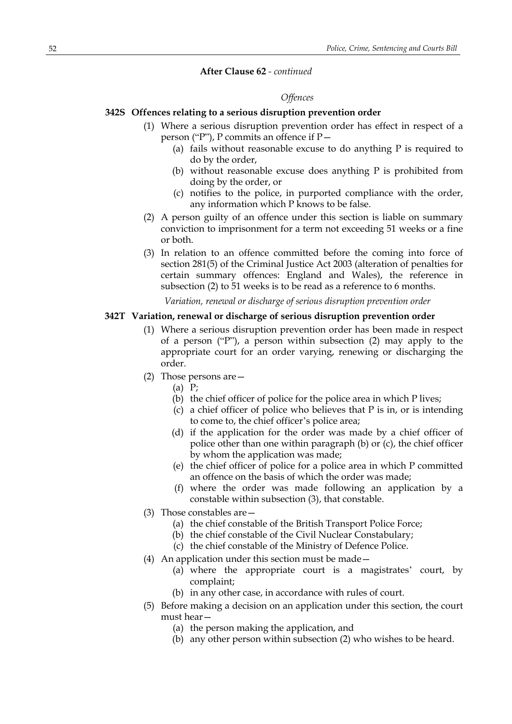#### *Offences*

### **342S Offences relating to a serious disruption prevention order**

- (1) Where a serious disruption prevention order has effect in respect of a person ("P"), P commits an offence if P—
	- (a) fails without reasonable excuse to do anything P is required to do by the order,
	- (b) without reasonable excuse does anything P is prohibited from doing by the order, or
	- (c) notifies to the police, in purported compliance with the order, any information which P knows to be false.
- (2) A person guilty of an offence under this section is liable on summary conviction to imprisonment for a term not exceeding 51 weeks or a fine or both.
- (3) In relation to an offence committed before the coming into force of section 281(5) of the Criminal Justice Act 2003 (alteration of penalties for certain summary offences: England and Wales), the reference in subsection (2) to 51 weeks is to be read as a reference to 6 months.

*Variation, renewal or discharge of serious disruption prevention order*

### **342T Variation, renewal or discharge of serious disruption prevention order**

- (1) Where a serious disruption prevention order has been made in respect of a person ("P"), a person within subsection (2) may apply to the appropriate court for an order varying, renewing or discharging the order.
- (2) Those persons are—
	- (a) P;
	- (b) the chief officer of police for the police area in which P lives;
	- (c) a chief officer of police who believes that P is in, or is intending to come to, the chief officer's police area;
	- (d) if the application for the order was made by a chief officer of police other than one within paragraph (b) or (c), the chief officer by whom the application was made;
	- (e) the chief officer of police for a police area in which P committed an offence on the basis of which the order was made;
	- (f) where the order was made following an application by a constable within subsection (3), that constable.
- (3) Those constables are—
	- (a) the chief constable of the British Transport Police Force;
	- (b) the chief constable of the Civil Nuclear Constabulary;
	- (c) the chief constable of the Ministry of Defence Police.
- (4) An application under this section must be made—
	- (a) where the appropriate court is a magistrates' court, by complaint;
	- (b) in any other case, in accordance with rules of court.
- (5) Before making a decision on an application under this section, the court must hear—
	- (a) the person making the application, and
	- (b) any other person within subsection (2) who wishes to be heard.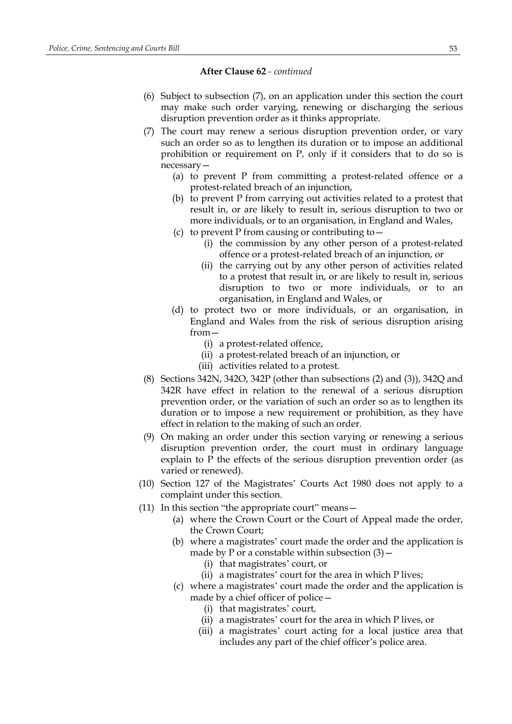- (6) Subject to subsection (7), on an application under this section the court may make such order varying, renewing or discharging the serious disruption prevention order as it thinks appropriate.
- (7) The court may renew a serious disruption prevention order, or vary such an order so as to lengthen its duration or to impose an additional prohibition or requirement on P, only if it considers that to do so is necessary—
	- (a) to prevent P from committing a protest-related offence or a protest-related breach of an injunction,
	- (b) to prevent P from carrying out activities related to a protest that result in, or are likely to result in, serious disruption to two or more individuals, or to an organisation, in England and Wales,
	- (c) to prevent P from causing or contributing to—
		- (i) the commission by any other person of a protest-related offence or a protest-related breach of an injunction, or
		- (ii) the carrying out by any other person of activities related to a protest that result in, or are likely to result in, serious disruption to two or more individuals, or to an organisation, in England and Wales, or
	- (d) to protect two or more individuals, or an organisation, in England and Wales from the risk of serious disruption arising from—
		- (i) a protest-related offence,
		- (ii) a protest-related breach of an injunction, or
		- (iii) activities related to a protest.
- (8) Sections 342N, 342O, 342P (other than subsections (2) and (3)), 342Q and 342R have effect in relation to the renewal of a serious disruption prevention order, or the variation of such an order so as to lengthen its duration or to impose a new requirement or prohibition, as they have effect in relation to the making of such an order.
- (9) On making an order under this section varying or renewing a serious disruption prevention order, the court must in ordinary language explain to P the effects of the serious disruption prevention order (as varied or renewed).
- (10) Section 127 of the Magistrates' Courts Act 1980 does not apply to a complaint under this section.
- (11) In this section "the appropriate court" means—
	- (a) where the Crown Court or the Court of Appeal made the order, the Crown Court;
	- (b) where a magistrates' court made the order and the application is made by P or a constable within subsection  $(3)$  -
		- (i) that magistrates' court, or
		- (ii) a magistrates' court for the area in which P lives;
	- (c) where a magistrates' court made the order and the application is made by a chief officer of police—
		- (i) that magistrates' court,
		- (ii) a magistrates' court for the area in which P lives, or
		- (iii) a magistrates' court acting for a local justice area that includes any part of the chief officer's police area.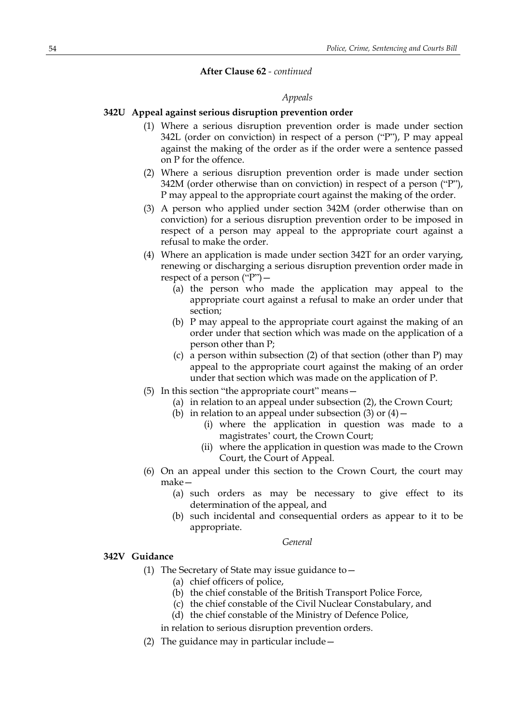#### *Appeals*

### **342U Appeal against serious disruption prevention order**

- (1) Where a serious disruption prevention order is made under section 342L (order on conviction) in respect of a person ("P"), P may appeal against the making of the order as if the order were a sentence passed on P for the offence.
- (2) Where a serious disruption prevention order is made under section 342M (order otherwise than on conviction) in respect of a person ("P"), P may appeal to the appropriate court against the making of the order.
- (3) A person who applied under section 342M (order otherwise than on conviction) for a serious disruption prevention order to be imposed in respect of a person may appeal to the appropriate court against a refusal to make the order.
- (4) Where an application is made under section 342T for an order varying, renewing or discharging a serious disruption prevention order made in respect of a person  $("P")$  –
	- (a) the person who made the application may appeal to the appropriate court against a refusal to make an order under that section;
	- (b) P may appeal to the appropriate court against the making of an order under that section which was made on the application of a person other than P;
	- (c) a person within subsection (2) of that section (other than P) may appeal to the appropriate court against the making of an order under that section which was made on the application of P.
- (5) In this section "the appropriate court" means—
	- (a) in relation to an appeal under subsection (2), the Crown Court;
	- (b) in relation to an appeal under subsection (3) or  $(4)$ 
		- (i) where the application in question was made to a magistrates' court, the Crown Court;
		- (ii) where the application in question was made to the Crown Court, the Court of Appeal.
- (6) On an appeal under this section to the Crown Court, the court may make—
	- (a) such orders as may be necessary to give effect to its determination of the appeal, and
	- (b) such incidental and consequential orders as appear to it to be appropriate.

### *General*

#### **342V Guidance**

- (1) The Secretary of State may issue guidance to—
	- (a) chief officers of police,
		- (b) the chief constable of the British Transport Police Force,
		- (c) the chief constable of the Civil Nuclear Constabulary, and
	- (d) the chief constable of the Ministry of Defence Police,
	- in relation to serious disruption prevention orders.
- (2) The guidance may in particular include—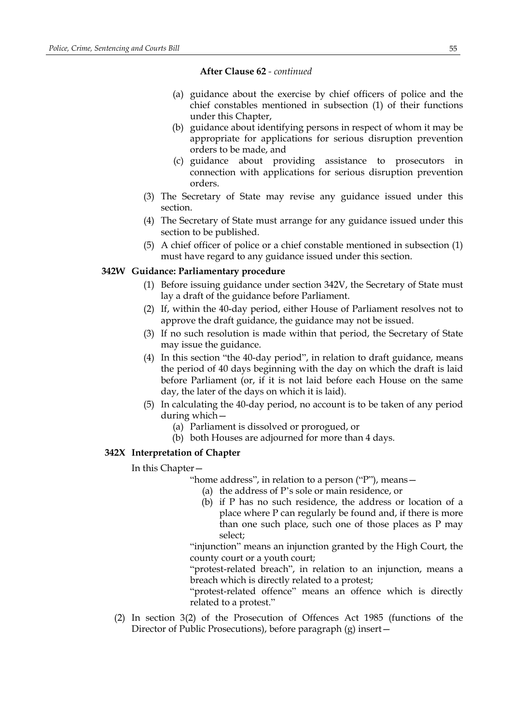- (a) guidance about the exercise by chief officers of police and the chief constables mentioned in subsection (1) of their functions under this Chapter,
- (b) guidance about identifying persons in respect of whom it may be appropriate for applications for serious disruption prevention orders to be made, and
- (c) guidance about providing assistance to prosecutors in connection with applications for serious disruption prevention orders.
- (3) The Secretary of State may revise any guidance issued under this section.
- (4) The Secretary of State must arrange for any guidance issued under this section to be published.
- (5) A chief officer of police or a chief constable mentioned in subsection (1) must have regard to any guidance issued under this section.

### **342W Guidance: Parliamentary procedure**

- (1) Before issuing guidance under section 342V, the Secretary of State must lay a draft of the guidance before Parliament.
- (2) If, within the 40-day period, either House of Parliament resolves not to approve the draft guidance, the guidance may not be issued.
- (3) If no such resolution is made within that period, the Secretary of State may issue the guidance.
- (4) In this section "the 40-day period", in relation to draft guidance, means the period of 40 days beginning with the day on which the draft is laid before Parliament (or, if it is not laid before each House on the same day, the later of the days on which it is laid).
- (5) In calculating the 40-day period, no account is to be taken of any period during which—
	- (a) Parliament is dissolved or prorogued, or
	- (b) both Houses are adjourned for more than 4 days.

#### **342X Interpretation of Chapter**

In this Chapter—

- "home address", in relation to a person ("P"), means—
	- (a) the address of P's sole or main residence, or
	- (b) if P has no such residence, the address or location of a place where P can regularly be found and, if there is more than one such place, such one of those places as P may select;

"injunction" means an injunction granted by the High Court, the county court or a youth court;

"protest-related breach", in relation to an injunction, means a breach which is directly related to a protest;

"protest-related offence" means an offence which is directly related to a protest."

(2) In section 3(2) of the Prosecution of Offences Act 1985 (functions of the Director of Public Prosecutions), before paragraph (g) insert—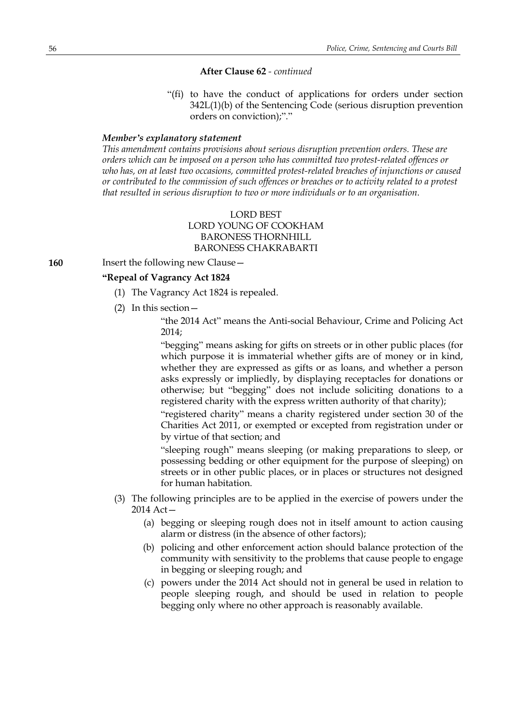"(fi) to have the conduct of applications for orders under section 342L(1)(b) of the Sentencing Code (serious disruption prevention orders on conviction);"."

#### *Member's explanatory statement*

*This amendment contains provisions about serious disruption prevention orders. These are orders which can be imposed on a person who has committed two protest-related offences or who has, on at least two occasions, committed protest-related breaches of injunctions or caused or contributed to the commission of such offences or breaches or to activity related to a protest that resulted in serious disruption to two or more individuals or to an organisation.*

### LORD BEST LORD YOUNG OF COOKHAM BARONESS THORNHILL BARONESS CHAKRABARTI

#### **160** Insert the following new Clause –

### **"Repeal of Vagrancy Act 1824**

- (1) The Vagrancy Act 1824 is repealed.
- (2) In this section—

"the 2014 Act" means the Anti-social Behaviour, Crime and Policing Act 2014;

"begging" means asking for gifts on streets or in other public places (for which purpose it is immaterial whether gifts are of money or in kind, whether they are expressed as gifts or as loans, and whether a person asks expressly or impliedly, by displaying receptacles for donations or otherwise; but "begging" does not include soliciting donations to a registered charity with the express written authority of that charity);

"registered charity" means a charity registered under section 30 of the Charities Act 2011, or exempted or excepted from registration under or by virtue of that section; and

"sleeping rough" means sleeping (or making preparations to sleep, or possessing bedding or other equipment for the purpose of sleeping) on streets or in other public places, or in places or structures not designed for human habitation.

- (3) The following principles are to be applied in the exercise of powers under the 2014 Act—
	- (a) begging or sleeping rough does not in itself amount to action causing alarm or distress (in the absence of other factors);
	- (b) policing and other enforcement action should balance protection of the community with sensitivity to the problems that cause people to engage in begging or sleeping rough; and
	- (c) powers under the 2014 Act should not in general be used in relation to people sleeping rough, and should be used in relation to people begging only where no other approach is reasonably available.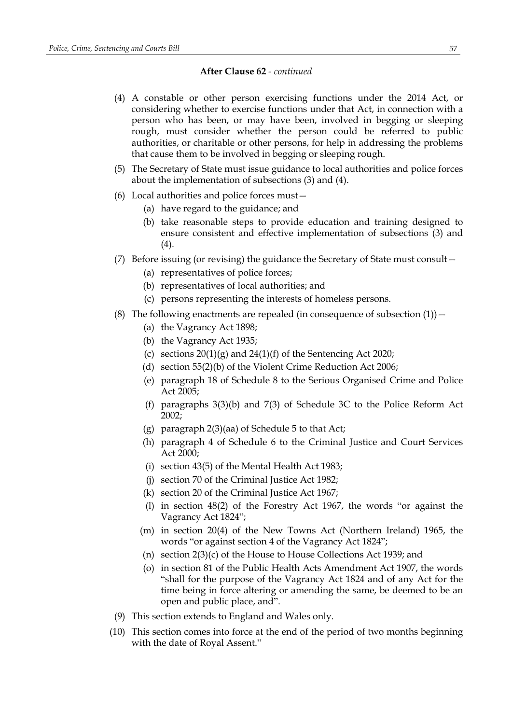- (4) A constable or other person exercising functions under the 2014 Act, or considering whether to exercise functions under that Act, in connection with a person who has been, or may have been, involved in begging or sleeping rough, must consider whether the person could be referred to public authorities, or charitable or other persons, for help in addressing the problems that cause them to be involved in begging or sleeping rough.
- (5) The Secretary of State must issue guidance to local authorities and police forces about the implementation of subsections (3) and (4).
- (6) Local authorities and police forces must—
	- (a) have regard to the guidance; and
	- (b) take reasonable steps to provide education and training designed to ensure consistent and effective implementation of subsections (3) and (4).
- (7) Before issuing (or revising) the guidance the Secretary of State must consult—
	- (a) representatives of police forces;
	- (b) representatives of local authorities; and
	- (c) persons representing the interests of homeless persons.
- (8) The following enactments are repealed (in consequence of subsection  $(1)$ )
	- (a) the Vagrancy Act 1898;
	- (b) the Vagrancy Act 1935;
	- (c) sections  $20(1)(g)$  and  $24(1)(f)$  of the Sentencing Act 2020;
	- (d) section 55(2)(b) of the Violent Crime Reduction Act 2006;
	- (e) paragraph 18 of Schedule 8 to the Serious Organised Crime and Police Act 2005;
	- (f) paragraphs 3(3)(b) and 7(3) of Schedule 3C to the Police Reform Act 2002;
	- (g) paragraph 2(3)(aa) of Schedule 5 to that Act;
	- (h) paragraph 4 of Schedule 6 to the Criminal Justice and Court Services Act 2000;
	- (i) section 43(5) of the Mental Health Act 1983;
	- (j) section 70 of the Criminal Justice Act 1982;
	- (k) section 20 of the Criminal Justice Act 1967;
	- (l) in section 48(2) of the Forestry Act 1967, the words "or against the Vagrancy Act 1824";
	- (m) in section 20(4) of the New Towns Act (Northern Ireland) 1965, the words "or against section 4 of the Vagrancy Act 1824";
	- (n) section 2(3)(c) of the House to House Collections Act 1939; and
	- (o) in section 81 of the Public Health Acts Amendment Act 1907, the words "shall for the purpose of the Vagrancy Act 1824 and of any Act for the time being in force altering or amending the same, be deemed to be an open and public place, and".
- (9) This section extends to England and Wales only.
- (10) This section comes into force at the end of the period of two months beginning with the date of Royal Assent."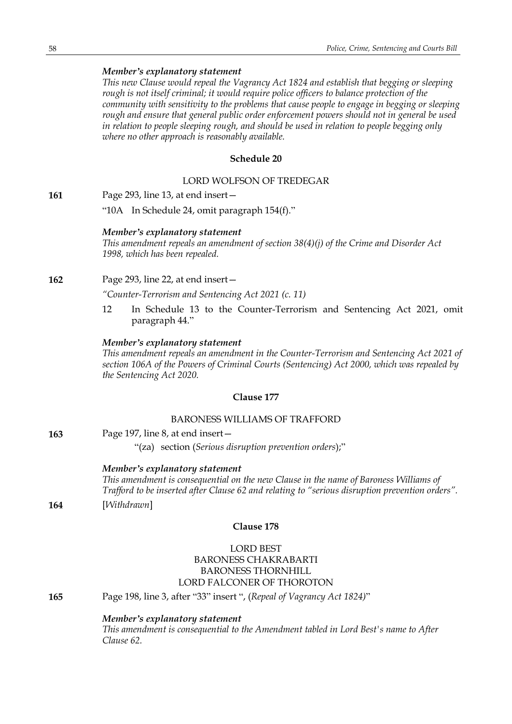### *Member's explanatory statement*

*This new Clause would repeal the Vagrancy Act 1824 and establish that begging or sleeping rough is not itself criminal; it would require police officers to balance protection of the community with sensitivity to the problems that cause people to engage in begging or sleeping rough and ensure that general public order enforcement powers should not in general be used in relation to people sleeping rough, and should be used in relation to people begging only where no other approach is reasonably available.*

### **Schedule 20**

#### LORD WOLFSON OF TREDEGAR

**161** Page 293, line 13, at end insert—

"10A In Schedule 24, omit paragraph 154(f)."

#### *Member's explanatory statement*

*This amendment repeals an amendment of section 38(4)(j) of the Crime and Disorder Act 1998, which has been repealed.*

**162** Page 293, line 22, at end insert—

*"Counter-Terrorism and Sentencing Act 2021 (c. 11)*

12 In Schedule 13 to the Counter-Terrorism and Sentencing Act 2021, omit paragraph 44."

### *Member's explanatory statement*

*This amendment repeals an amendment in the Counter-Terrorism and Sentencing Act 2021 of section 106A of the Powers of Criminal Courts (Sentencing) Act 2000, which was repealed by the Sentencing Act 2020.*

### **Clause 177**

### BARONESS WILLIAMS OF TRAFFORD

**163** Page 197, line 8, at end insert—

"(za) section (*Serious disruption prevention orders*);"

#### *Member's explanatory statement*

*This amendment is consequential on the new Clause in the name of Baroness Williams of Trafford to be inserted after Clause 62 and relating to "serious disruption prevention orders".* **164** [*Withdrawn*]

### **Clause 178**

### LORD BEST BARONESS CHAKRABARTI BARONESS THORNHILL LORD FALCONER OF THOROTON

**165** Page 198, line 3, after "33" insert ", (*Repeal of Vagrancy Act 1824)*"

#### *Member's explanatory statement*

*This amendment is consequential to the Amendment tabled in Lord Best's name to After Clause 62.*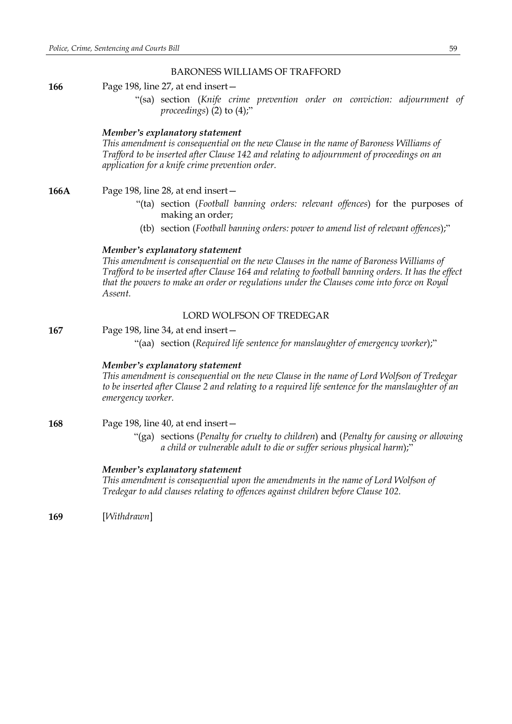#### BARONESS WILLIAMS OF TRAFFORD

**166** Page 198, line 27, at end insert—

"(sa) section (*Knife crime prevention order on conviction: adjournment of proceedings*) (2) to (4);"

#### *Member's explanatory statement*

*This amendment is consequential on the new Clause in the name of Baroness Williams of Trafford to be inserted after Clause 142 and relating to adjournment of proceedings on an application for a knife crime prevention order.*

**166A** Page 198, line 28, at end insert—

- "(ta) section (*Football banning orders: relevant offences*) for the purposes of making an order;
- (tb) section (*Football banning orders: power to amend list of relevant offences*);"

#### *Member's explanatory statement*

*This amendment is consequential on the new Clauses in the name of Baroness Williams of Trafford to be inserted after Clause 164 and relating to football banning orders. It has the effect that the powers to make an order or regulations under the Clauses come into force on Royal Assent.*

#### LORD WOLFSON OF TREDEGAR

**167** Page 198, line 34, at end insert— "(aa) section (*Required life sentence for manslaughter of emergency worker*);"

#### *Member's explanatory statement*

*This amendment is consequential on the new Clause in the name of Lord Wolfson of Tredegar to be inserted after Clause 2 and relating to a required life sentence for the manslaughter of an emergency worker.*

- **168** Page 198, line 40, at end insert—
	- "(ga) sections (*Penalty for cruelty to children*) and (*Penalty for causing or allowing a child or vulnerable adult to die or suffer serious physical harm*);"

#### *Member's explanatory statement*

*This amendment is consequential upon the amendments in the name of Lord Wolfson of Tredegar to add clauses relating to offences against children before Clause 102.*

**169** [*Withdrawn*]